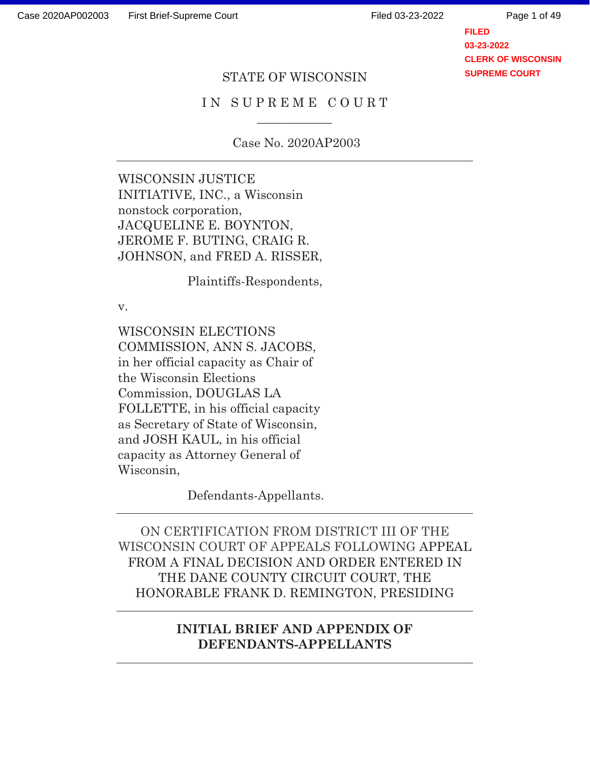Page 1 of 49

**FILED 03-23-2022 CLERK OF WISCONSIN SUPREME COURT**

#### STATE OF WISCONSIN

### IN SUPREME COURT  $\overline{\phantom{a}}$

Case No. 2020AP2003

WISCONSIN JUSTICE INITIATIVE, INC., a Wisconsin nonstock corporation, JACQUELINE E. BOYNTON, JEROME F. BUTING, CRAIG R. JOHNSON, and FRED A. RISSER,

Plaintiffs-Respondents,

v.

WISCONSIN ELECTIONS COMMISSION, ANN S. JACOBS, in her official capacity as Chair of the Wisconsin Elections Commission, DOUGLAS LA FOLLETTE, in his official capacity as Secretary of State of Wisconsin, and JOSH KAUL, in his official capacity as Attorney General of Wisconsin,

Defendants-Appellants.

ON CERTIFICATION FROM DISTRICT III OF THE WISCONSIN COURT OF APPEALS FOLLOWING APPEAL FROM A FINAL DECISION AND ORDER ENTERED IN THE DANE COUNTY CIRCUIT COURT, THE HONORABLE FRANK D. REMINGTON, PRESIDING

### **INITIAL BRIEF AND APPENDIX OF DEFENDANTS-APPELLANTS**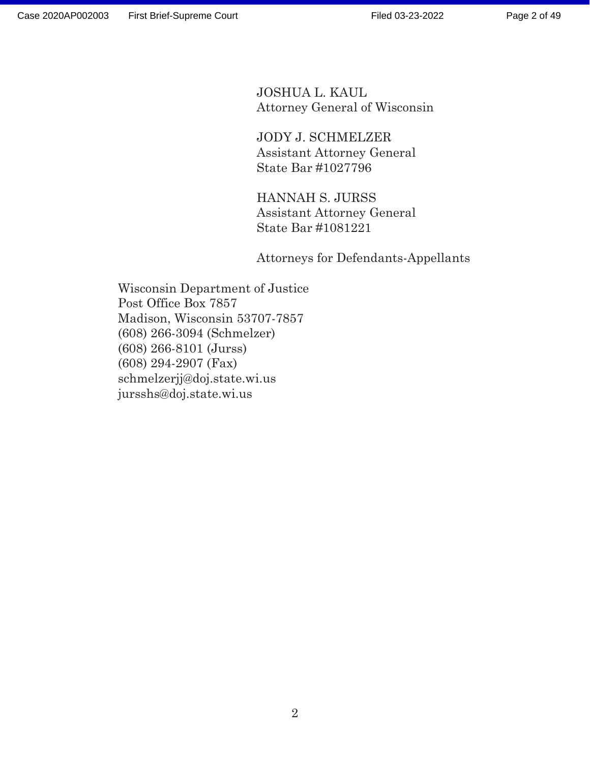JOSHUA L. KAUL Attorney General of Wisconsin

 JODY J. SCHMELZER Assistant Attorney General State Bar #1027796

 HANNAH S. JURSS Assistant Attorney General State Bar #1081221

Attorneys for Defendants-Appellants

Wisconsin Department of Justice Post Office Box 7857 Madison, Wisconsin 53707-7857 (608) 266-3094 (Schmelzer) (608) 266-8101 (Jurss) (608) 294-2907 (Fax) schmelzerjj@doj.state.wi.us jursshs@doj.state.wi.us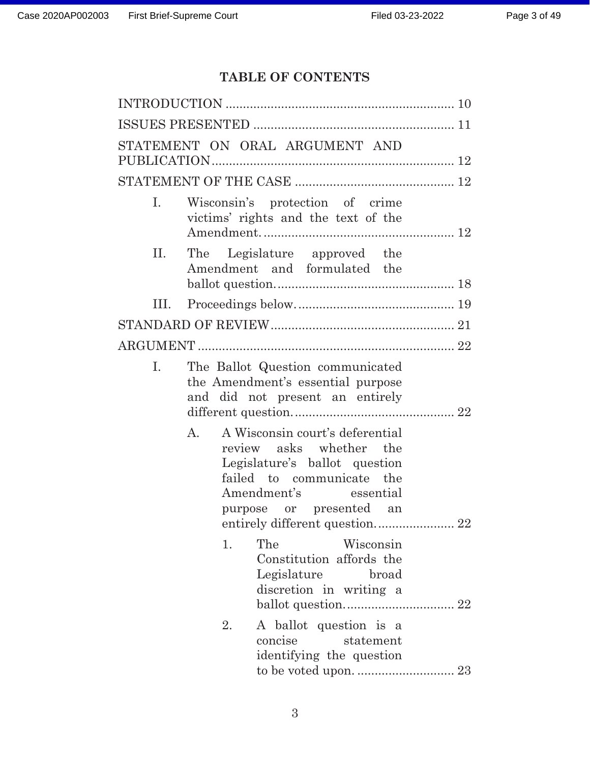# **TABLE OF CONTENTS**

|      | STATEMENT ON ORAL ARGUMENT AND                                                                                                                                                                                       |  |
|------|----------------------------------------------------------------------------------------------------------------------------------------------------------------------------------------------------------------------|--|
|      |                                                                                                                                                                                                                      |  |
| Ι.   | Wisconsin's protection of crime<br>victims' rights and the text of the                                                                                                                                               |  |
| П.   | The Legislature approved the<br>Amendment and formulated the                                                                                                                                                         |  |
| III. |                                                                                                                                                                                                                      |  |
|      |                                                                                                                                                                                                                      |  |
|      |                                                                                                                                                                                                                      |  |
| I.   | The Ballot Question communicated<br>the Amendment's essential purpose<br>and did not present an entirely                                                                                                             |  |
|      | A Wisconsin court's deferential<br>А.<br>review asks whether the<br>Legislature's ballot question<br>failed to communicate the<br>Amendment's essential<br>purpose or presented an<br>entirely different question 22 |  |
|      | The<br>Wisconsin<br>1.<br>Constitution affords the<br>Legislature<br>broad<br>discretion in writing a                                                                                                                |  |
|      | A ballot question is a<br>2.<br>concise<br>statement<br>identifying the question                                                                                                                                     |  |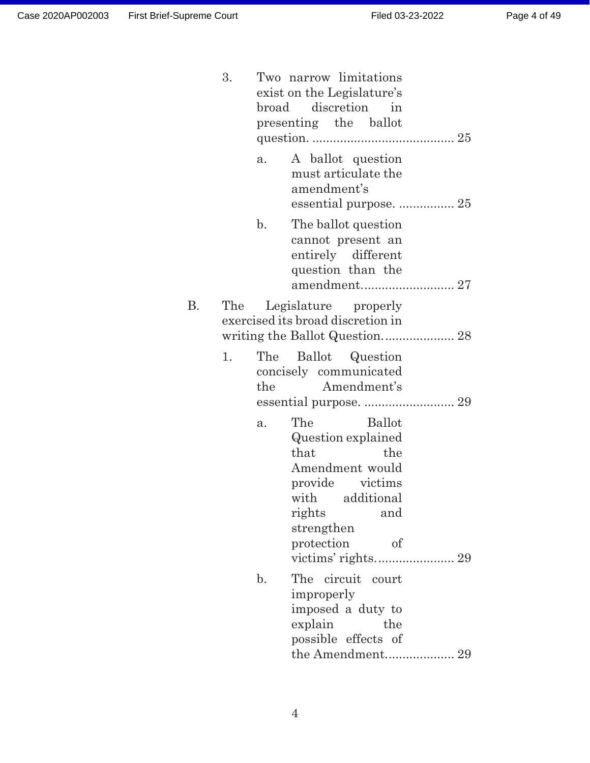|    | 3.  |                | Two narrow limitations<br>exist on the Legislature's<br>broad discretion<br>in<br>presenting the ballot                                                                          |
|----|-----|----------------|----------------------------------------------------------------------------------------------------------------------------------------------------------------------------------|
|    |     | a.             | A ballot question<br>must articulate the<br>amendment's                                                                                                                          |
|    |     | $\mathbf{b}$ . | The ballot question<br>cannot present an<br>entirely different<br>question than the                                                                                              |
| В. | The |                | Legislature properly<br>exercised its broad discretion in                                                                                                                        |
|    | 1.  | The<br>the     | Ballot Question<br>concisely communicated<br>Amendment's                                                                                                                         |
|    |     | a.             | The<br><b>Ballot</b><br>Question explained<br>that<br>the<br>Amendment would<br>provide victims<br>with additional<br>rights<br>and<br>strengthen<br>protection<br><sub>of</sub> |
|    |     | $\mathbf{b}$ . | The circuit court<br>improperly<br>imposed a duty to<br>explain<br>the<br>possible effects of<br>the Amendment 29                                                                |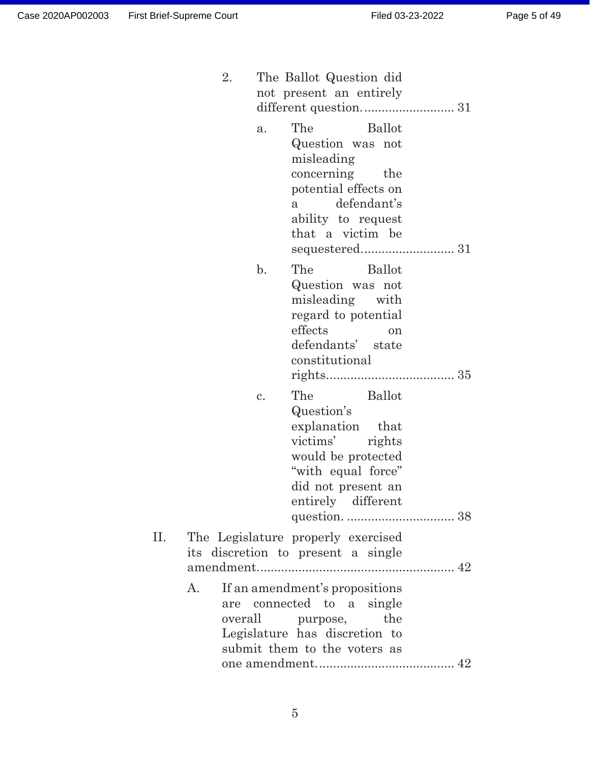|     | 2. | The Ballot Question did<br>not present an entirely                                                                                                                              |  |
|-----|----|---------------------------------------------------------------------------------------------------------------------------------------------------------------------------------|--|
|     |    | The<br><b>Ballot</b><br>a.<br>Question was not<br>misleading<br>concerning the<br>potential effects on<br>defendant's<br>$\mathbf{a}$<br>ability to request<br>that a victim be |  |
|     |    | The<br>$\mathbf{b}$ .<br><b>Ballot</b><br>Question was not<br>misleading with<br>regard to potential<br>effects<br>on<br>defendants' state<br>constitutional                    |  |
|     |    | The<br><b>Ballot</b><br>c.<br>Question's<br>explanation that<br>victims'<br>rights<br>would be protected<br>"with equal force"<br>did not present an<br>entirely different      |  |
| II. | A. | The Legislature properly exercised<br>its discretion to present a single<br>If an amendment's propositions<br>are connected to a single<br>overall purpose,<br>the              |  |
|     |    | Legislature has discretion to<br>submit them to the voters as                                                                                                                   |  |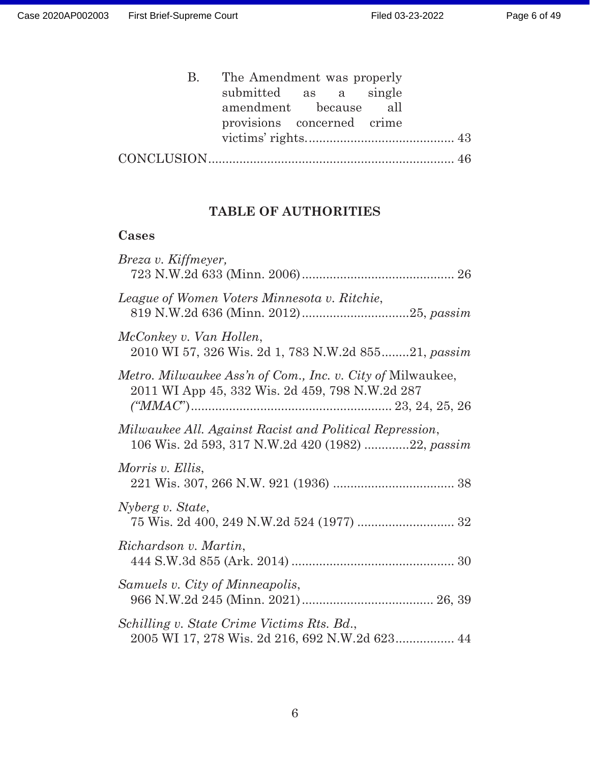| B. The Amendment was properly |  |  |
|-------------------------------|--|--|
| submitted as a single         |  |  |
| amendment because all         |  |  |
| provisions concerned crime    |  |  |
|                               |  |  |
|                               |  |  |

## **TABLE OF AUTHORITIES**

## **Cases**

| Breza v. Kiffmeyer,                                                                                           |
|---------------------------------------------------------------------------------------------------------------|
| League of Women Voters Minnesota v. Ritchie,                                                                  |
| McConkey v. Van Hollen,<br>2010 WI 57, 326 Wis. 2d 1, 783 N.W.2d 85521, passim                                |
| Metro. Milwaukee Ass'n of Com., Inc. v. City of Milwaukee,<br>2011 WI App 45, 332 Wis. 2d 459, 798 N.W.2d 287 |
| Milwaukee All. Against Racist and Political Repression,<br>106 Wis. 2d 593, 317 N.W.2d 420 (1982) 22, passim  |
| Morris v. Ellis,                                                                                              |
| Nyberg v. State,                                                                                              |
| Richardson v. Martin,                                                                                         |
| Samuels v. City of Minneapolis,                                                                               |
| Schilling v. State Crime Victims Rts. Bd.,<br>2005 WI 17, 278 Wis. 2d 216, 692 N.W.2d 623 44                  |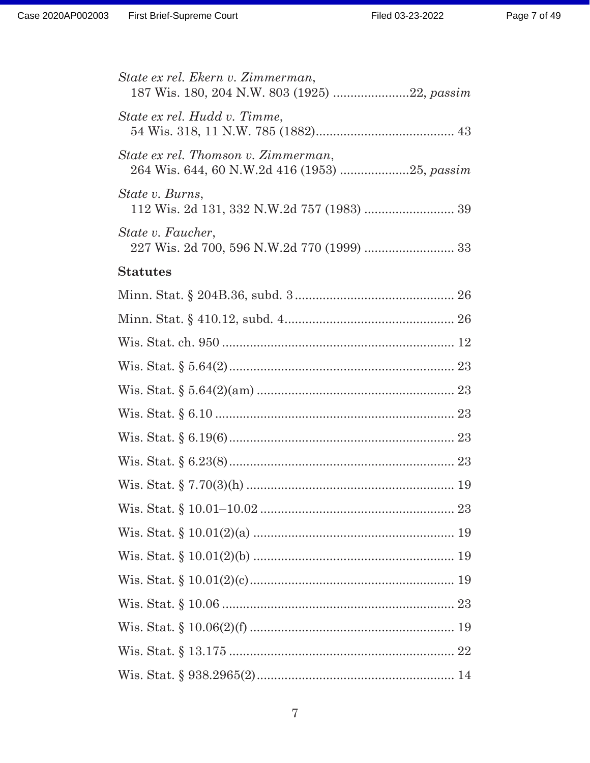| State ex rel. Ekern v. Zimmerman,<br>187 Wis. 180, 204 N.W. 803 (1925) 22, passim |
|-----------------------------------------------------------------------------------|
| State ex rel. Hudd v. Timme,                                                      |
| State ex rel. Thomson v. Zimmerman,                                               |
| State v. Burns,                                                                   |
| <i>State v. Faucher,</i>                                                          |
| <b>Statutes</b>                                                                   |
|                                                                                   |
|                                                                                   |
|                                                                                   |
|                                                                                   |
|                                                                                   |
|                                                                                   |
|                                                                                   |
|                                                                                   |
|                                                                                   |
|                                                                                   |
|                                                                                   |
|                                                                                   |
|                                                                                   |
|                                                                                   |
|                                                                                   |
|                                                                                   |
|                                                                                   |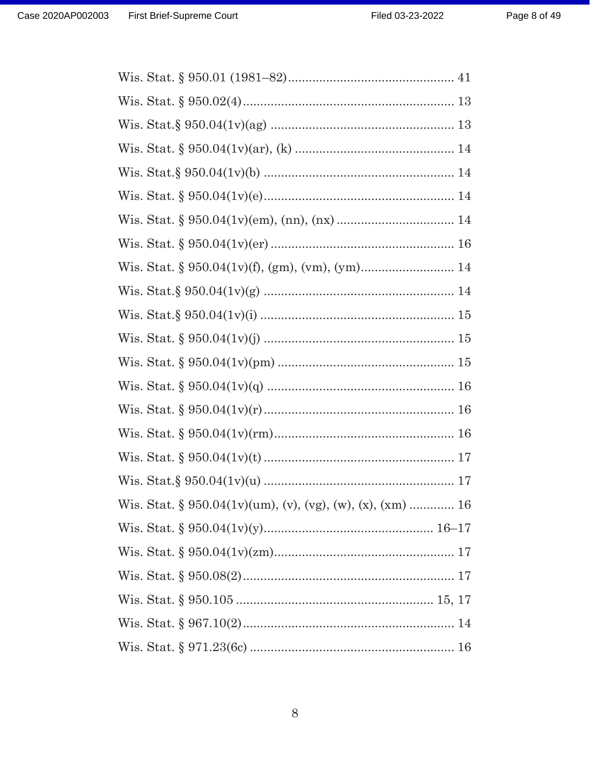| Wis. Stat. § 950.04(1v)(um), (v), (vg), (w), (x), (xm)  16 |  |
|------------------------------------------------------------|--|
|                                                            |  |
|                                                            |  |
|                                                            |  |
|                                                            |  |
|                                                            |  |
|                                                            |  |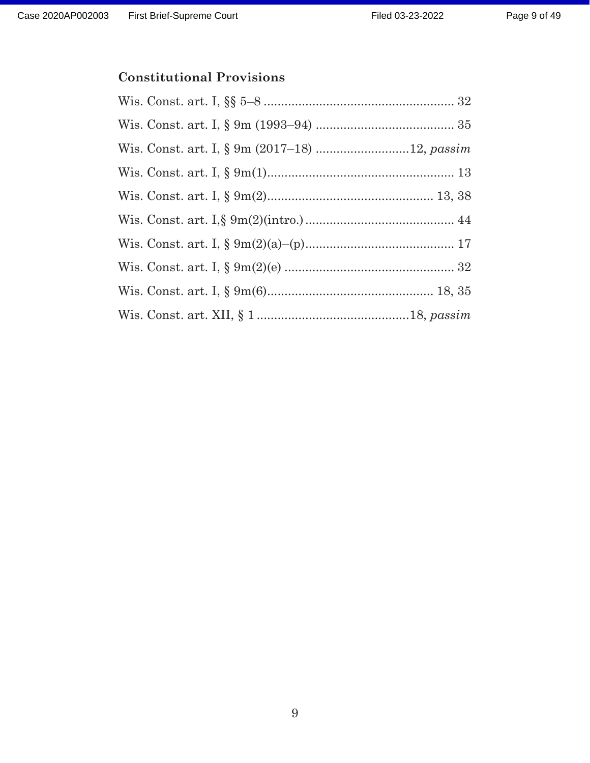## **Constitutional Provisions**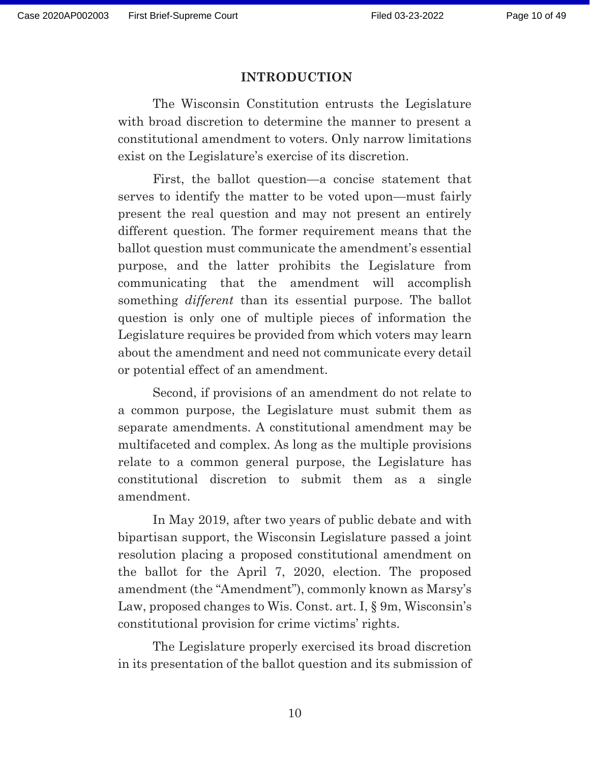#### **INTRODUCTION**

The Wisconsin Constitution entrusts the Legislature with broad discretion to determine the manner to present a constitutional amendment to voters. Only narrow limitations exist on the Legislature's exercise of its discretion.

First, the ballot question—a concise statement that serves to identify the matter to be voted upon—must fairly present the real question and may not present an entirely different question. The former requirement means that the ballot question must communicate the amendment's essential purpose, and the latter prohibits the Legislature from communicating that the amendment will accomplish something *different* than its essential purpose. The ballot question is only one of multiple pieces of information the Legislature requires be provided from which voters may learn about the amendment and need not communicate every detail or potential effect of an amendment.

Second, if provisions of an amendment do not relate to a common purpose, the Legislature must submit them as separate amendments. A constitutional amendment may be multifaceted and complex. As long as the multiple provisions relate to a common general purpose, the Legislature has constitutional discretion to submit them as a single amendment.

In May 2019, after two years of public debate and with bipartisan support, the Wisconsin Legislature passed a joint resolution placing a proposed constitutional amendment on the ballot for the April 7, 2020, election. The proposed amendment (the "Amendment"), commonly known as Marsy's Law, proposed changes to Wis. Const. art. I,  $\S$  9m, Wisconsin's constitutional provision for crime victims' rights.

The Legislature properly exercised its broad discretion in its presentation of the ballot question and its submission of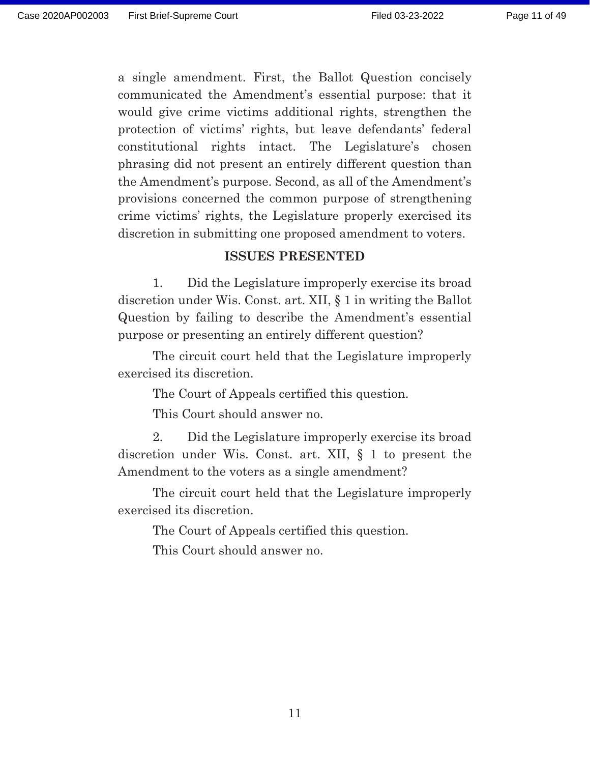a single amendment. First, the Ballot Question concisely communicated the Amendment's essential purpose: that it would give crime victims additional rights, strengthen the protection of victims' rights, but leave defendants' federal constitutional rights intact. The Legislature's chosen phrasing did not present an entirely different question than the Amendment's purpose. Second, as all of the Amendment's provisions concerned the common purpose of strengthening crime victims' rights, the Legislature properly exercised its discretion in submitting one proposed amendment to voters.

#### **ISSUES PRESENTED**

1. Did the Legislature improperly exercise its broad discretion under Wis. Const. art. XII, § 1 in writing the Ballot Question by failing to describe the Amendment's essential purpose or presenting an entirely different question?

 The circuit court held that the Legislature improperly exercised its discretion.

The Court of Appeals certified this question.

This Court should answer no.

 2. Did the Legislature improperly exercise its broad discretion under Wis. Const. art. XII, § 1 to present the Amendment to the voters as a single amendment?

 The circuit court held that the Legislature improperly exercised its discretion.

The Court of Appeals certified this question.

This Court should answer no.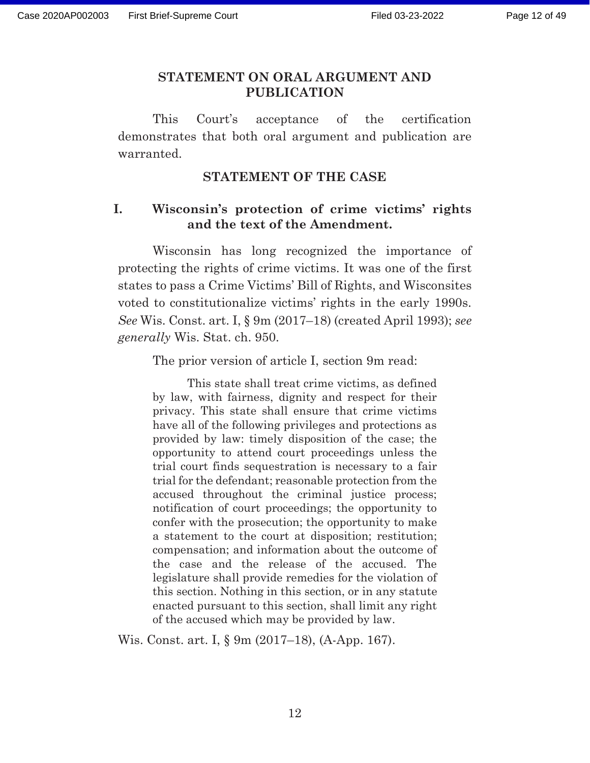#### **STATEMENT ON ORAL ARGUMENT AND PUBLICATION**

 This Court's acceptance of the certification demonstrates that both oral argument and publication are warranted.

#### **STATEMENT OF THE CASE**

### **I. Wisconsin's protection of crime victims' rights and the text of the Amendment.**

Wisconsin has long recognized the importance of protecting the rights of crime victims. It was one of the first states to pass a Crime Victims' Bill of Rights, and Wisconsites voted to constitutionalize victims' rights in the early 1990s. *See* Wis. Const. art. I, § 9m (2017–18) (created April 1993); *see generally* Wis. Stat. ch. 950.

The prior version of article I, section 9m read:

This state shall treat crime victims, as defined by law, with fairness, dignity and respect for their privacy. This state shall ensure that crime victims have all of the following privileges and protections as provided by law: timely disposition of the case; the opportunity to attend court proceedings unless the trial court finds sequestration is necessary to a fair trial for the defendant; reasonable protection from the accused throughout the criminal justice process; notification of court proceedings; the opportunity to confer with the prosecution; the opportunity to make a statement to the court at disposition; restitution; compensation; and information about the outcome of the case and the release of the accused. The legislature shall provide remedies for the violation of this section. Nothing in this section, or in any statute enacted pursuant to this section, shall limit any right of the accused which may be provided by law.

Wis. Const. art. I, § 9m (2017–18), (A-App. 167).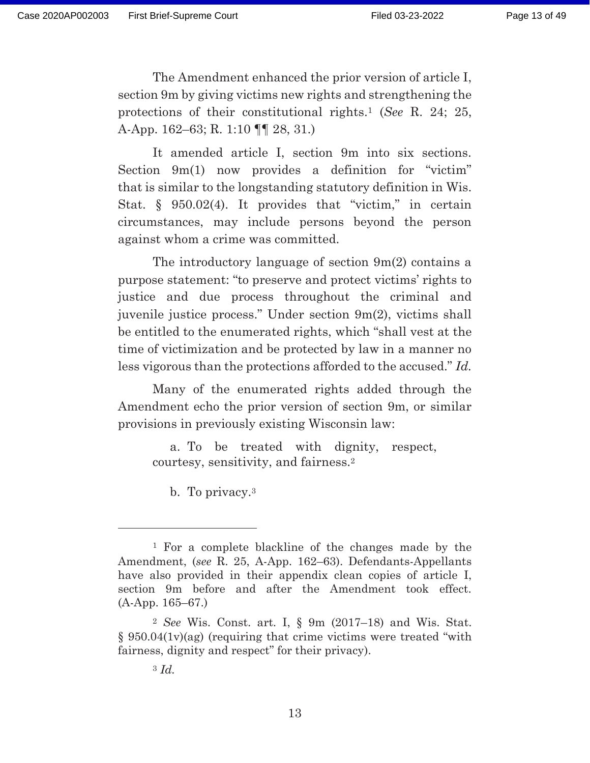The Amendment enhanced the prior version of article I, section 9m by giving victims new rights and strengthening the protections of their constitutional rights.1 (*See* R. 24; 25, A-App. 162–63; R. 1:10 ¶¶ 28, 31.)

 It amended article I, section 9m into six sections. Section 9m(1) now provides a definition for "victim" that is similar to the longstanding statutory definition in Wis. Stat.  $\S$  950.02(4). It provides that "victim," in certain circumstances, may include persons beyond the person against whom a crime was committed.

 The introductory language of section 9m(2) contains a purpose statement: "to preserve and protect victims' rights to justice and due process throughout the criminal and juvenile justice process." Under section 9m(2), victims shall be entitled to the enumerated rights, which "shall vest at the time of victimization and be protected by law in a manner no less vigorous than the protections afforded to the accused." *Id.*

 Many of the enumerated rights added through the Amendment echo the prior version of section 9m, or similar provisions in previously existing Wisconsin law:

a. To be treated with dignity, respect, courtesy, sensitivity, and fairness.2

b. To privacy.3

<sup>1</sup> For a complete blackline of the changes made by the Amendment, (*see* R. 25, A-App. 162–63). Defendants-Appellants have also provided in their appendix clean copies of article I, section 9m before and after the Amendment took effect. (A-App. 165–67.)

<sup>2</sup> *See* Wis. Const. art. I, § 9m (2017–18) and Wis. Stat. § 950.04(1v)(ag) (requiring that crime victims were treated "with fairness, dignity and respect" for their privacy).

<sup>3</sup> *Id.*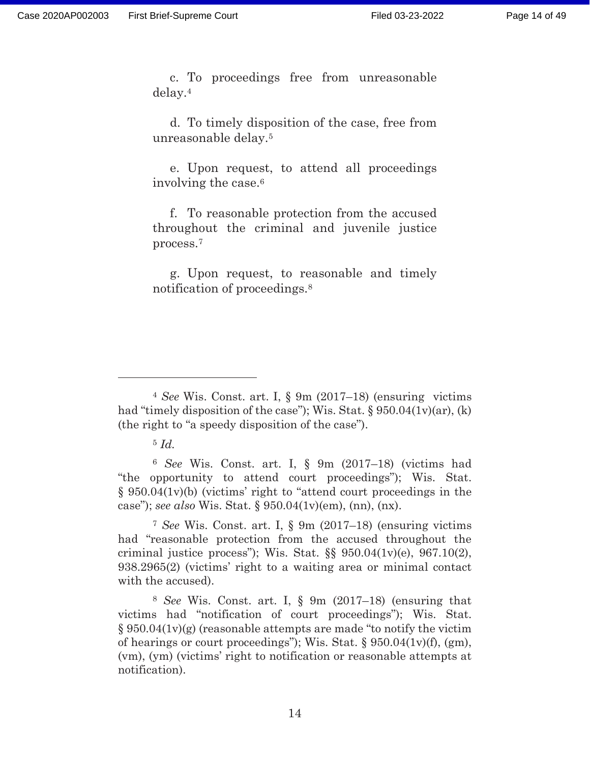c. To proceedings free from unreasonable delay.4

d. To timely disposition of the case, free from unreasonable delay.5

e. Upon request, to attend all proceedings involving the case.6

f. To reasonable protection from the accused throughout the criminal and juvenile justice process.7

g. Upon request, to reasonable and timely notification of proceedings.8

<sup>6</sup> *See* Wis. Const. art. I, § 9m (2017–18) (victims had "the opportunity to attend court proceedings"); Wis. Stat. § 950.04(1v)(b) (victims' right to "attend court proceedings in the case"); *see also* Wis. Stat. § 950.04(1v)(em), (nn), (nx).

<sup>7</sup> *See* Wis. Const. art. I, § 9m (2017–18) (ensuring victims had "reasonable protection from the accused throughout the criminal justice process"); Wis. Stat.  $\S$ § 950.04(1v)(e), 967.10(2), 938.2965(2) (victims' right to a waiting area or minimal contact with the accused).

<sup>8</sup> *See* Wis. Const. art. I, § 9m (2017–18) (ensuring that victims had "notification of court proceedings"); Wis. Stat.  $§ 950.04(1v)(g)$  (reasonable attempts are made "to notify the victim of hearings or court proceedings"); Wis. Stat.  $\S 950.04(1v)(f)$ , (gm), (vm), (ym) (victims' right to notification or reasonable attempts at notification).

<sup>4</sup> *See* Wis. Const. art. I, § 9m (2017–18) (ensuring victims had "timely disposition of the case"); Wis. Stat.  $\S 950.04(1v)(ar)$ , (k) (the right to "a speedy disposition of the case").

<sup>5</sup> *Id.*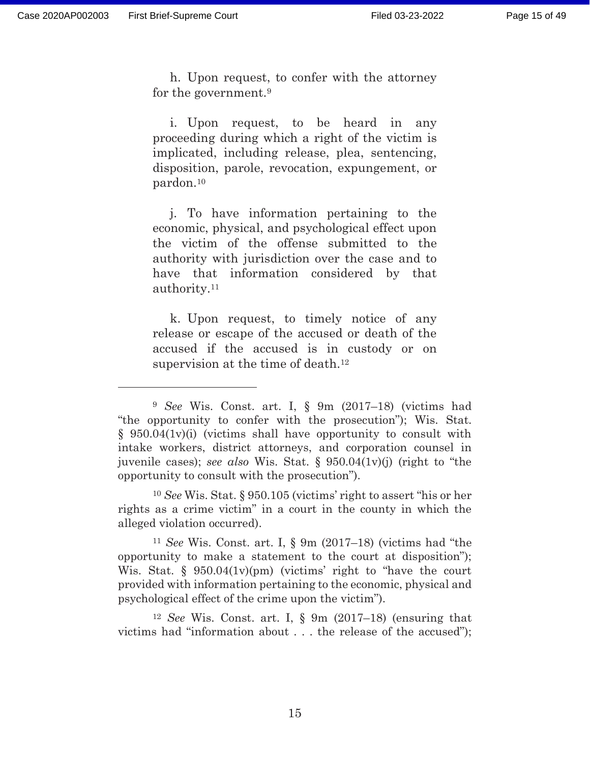h. Upon request, to confer with the attorney for the government.9

i. Upon request, to be heard in any proceeding during which a right of the victim is implicated, including release, plea, sentencing, disposition, parole, revocation, expungement, or pardon.10

j. To have information pertaining to the economic, physical, and psychological effect upon the victim of the offense submitted to the authority with jurisdiction over the case and to have that information considered by that authority.11

k. Upon request, to timely notice of any release or escape of the accused or death of the accused if the accused is in custody or on supervision at the time of death.<sup>12</sup>

<sup>10</sup> *See* Wis. Stat. § 950.105 (victims' right to assert "his or her rights as a crime victim" in a court in the county in which the alleged violation occurred).

<sup>11</sup> *See* Wis. Const. art. I, § 9m (2017–18) (victims had "the opportunity to make a statement to the court at disposition"); Wis. Stat. § 950.04(1v)(pm) (victims' right to "have the court provided with information pertaining to the economic, physical and psychological effect of the crime upon the victim").

<sup>12</sup> *See* Wis. Const. art. I, § 9m (2017–18) (ensuring that victims had "information about . . . the release of the accused");

<sup>9</sup> *See* Wis. Const. art. I, § 9m (2017–18) (victims had "the opportunity to confer with the prosecution"); Wis. Stat. § 950.04(1v)(i) (victims shall have opportunity to consult with intake workers, district attorneys, and corporation counsel in juvenile cases); *see also* Wis. Stat. § 950.04(1v)(j) (right to "the opportunity to consult with the prosecution").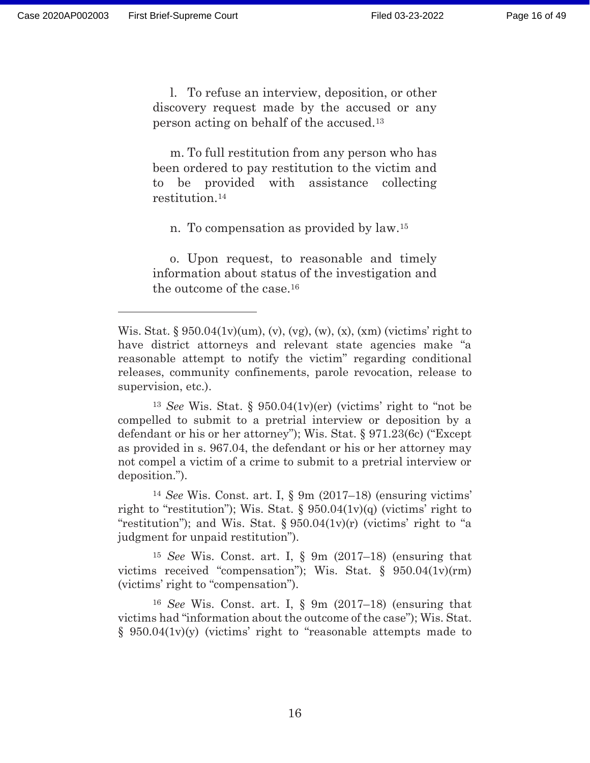l. To refuse an interview, deposition, or other discovery request made by the accused or any person acting on behalf of the accused.13

m. To full restitution from any person who has been ordered to pay restitution to the victim and to be provided with assistance collecting restitution.14

n. To compensation as provided by law.15

o. Upon request, to reasonable and timely information about status of the investigation and the outcome of the case.16

Wis. Stat.  $\S 950.04(1v)(um)$ , (v), (vg), (w), (x), (xm) (victims' right to have district attorneys and relevant state agencies make "a reasonable attempt to notify the victim" regarding conditional releases, community confinements, parole revocation, release to supervision, etc.).

<sup>13</sup> *See* Wis. Stat. § 950.04(1v)(er) (victims' right to "not be compelled to submit to a pretrial interview or deposition by a defendant or his or her attorney"); Wis. Stat. § 971.23(6c) ("Except as provided in s. 967.04, the defendant or his or her attorney may not compel a victim of a crime to submit to a pretrial interview or deposition.").

<sup>14</sup> *See* Wis. Const. art. I, § 9m (2017–18) (ensuring victims' right to "restitution"); Wis. Stat.  $\S 950.04(1v)(q)$  (victims' right to "restitution"); and Wis. Stat.  $\S 950.04(1v)(r)$  (victims' right to "a judgment for unpaid restitution").

<sup>15</sup> *See* Wis. Const. art. I, § 9m (2017–18) (ensuring that victims received "compensation"); Wis. Stat. § 950.04(1v)(rm) (victims' right to "compensation").

<sup>16</sup> *See* Wis. Const. art. I, § 9m (2017–18) (ensuring that victims had "information about the outcome of the case"); Wis. Stat.  $§$  950.04(1v)(y) (victims' right to "reasonable attempts made to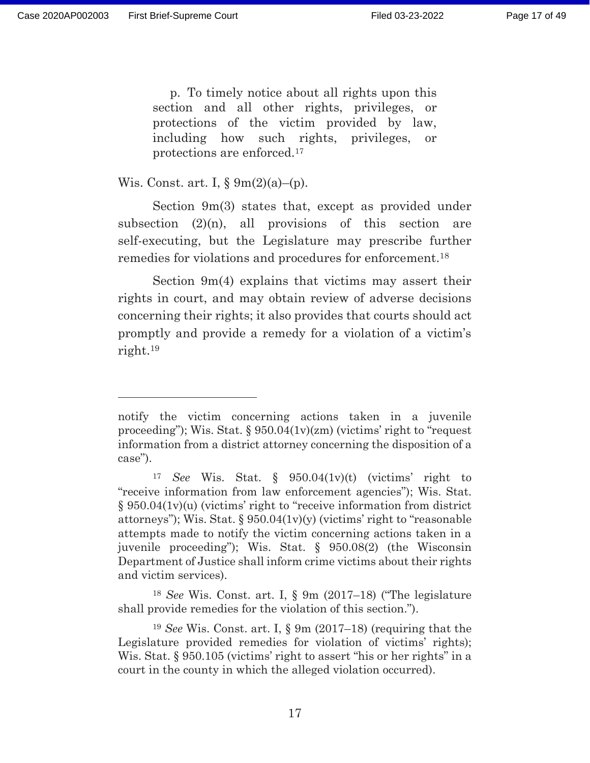p. To timely notice about all rights upon this section and all other rights, privileges, or protections of the victim provided by law, including how such rights, privileges, or protections are enforced.17

Wis. Const. art. I,  $\Sigma(m(2)(a) - (p))$ .

 Section 9m(3) states that, except as provided under subsection  $(2)(n)$ , all provisions of this section are self-executing, but the Legislature may prescribe further remedies for violations and procedures for enforcement.18

 Section 9m(4) explains that victims may assert their rights in court, and may obtain review of adverse decisions concerning their rights; it also provides that courts should act promptly and provide a remedy for a violation of a victim's right.19

notify the victim concerning actions taken in a juvenile proceeding"); Wis. Stat. § 950.04(1v)(zm) (victims' right to "request information from a district attorney concerning the disposition of a case").

<sup>17</sup> *See* Wis. Stat. § 950.04(1v)(t) (victims' right to "receive information from law enforcement agencies"); Wis. Stat. § 950.04(1v)(u) (victims' right to "receive information from district attorneys"); Wis. Stat.  $\S 950.04(1v)(y)$  (victims' right to "reasonable" attempts made to notify the victim concerning actions taken in a juvenile proceeding"); Wis. Stat. § 950.08(2) (the Wisconsin Department of Justice shall inform crime victims about their rights and victim services).

<sup>18</sup> *See* Wis. Const. art. I, § 9m (2017–18) ("The legislature shall provide remedies for the violation of this section.").

<sup>19</sup> *See* Wis. Const. art. I, § 9m (2017–18) (requiring that the Legislature provided remedies for violation of victims' rights); Wis. Stat. § 950.105 (victims' right to assert "his or her rights" in a court in the county in which the alleged violation occurred).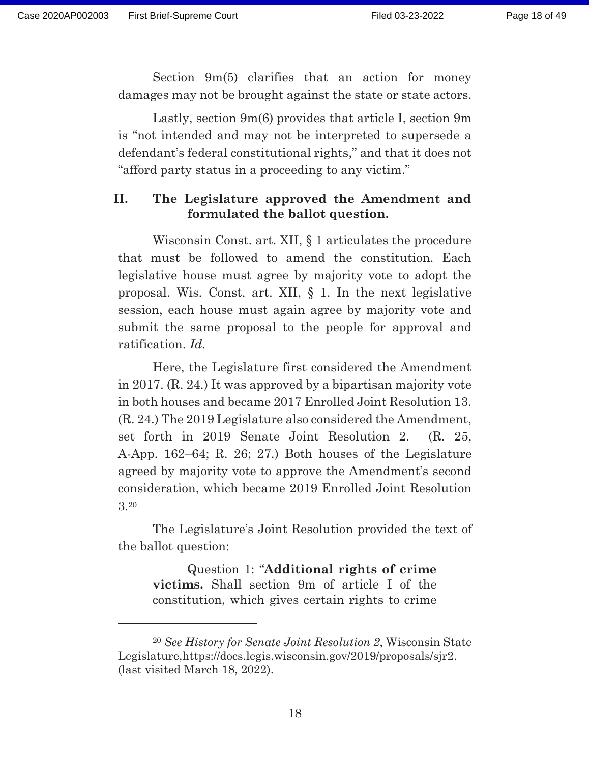Section 9m(5) clarifies that an action for money damages may not be brought against the state or state actors.

 Lastly, section 9m(6) provides that article I, section 9m is "not intended and may not be interpreted to supersede a defendant's federal constitutional rights," and that it does not "afford party status in a proceeding to any victim."

### **II. The Legislature approved the Amendment and formulated the ballot question.**

 Wisconsin Const. art. XII, § 1 articulates the procedure that must be followed to amend the constitution. Each legislative house must agree by majority vote to adopt the proposal. Wis. Const. art. XII, § 1. In the next legislative session, each house must again agree by majority vote and submit the same proposal to the people for approval and ratification. *Id.*

 Here, the Legislature first considered the Amendment in 2017. (R. 24.) It was approved by a bipartisan majority vote in both houses and became 2017 Enrolled Joint Resolution 13. (R. 24.) The 2019 Legislature also considered the Amendment, set forth in 2019 Senate Joint Resolution 2. (R. 25, A-App. 162–64; R. 26; 27.) Both houses of the Legislature agreed by majority vote to approve the Amendment's second consideration, which became 2019 Enrolled Joint Resolution 3.20

The Legislature's Joint Resolution provided the text of the ballot question:

Question 1: "**Additional rights of crime victims.** Shall section 9m of article I of the constitution, which gives certain rights to crime

<sup>20</sup> *See History for Senate Joint Resolution 2*, Wisconsin State Legislature,https://docs.legis.wisconsin.gov/2019/proposals/sjr2. (last visited March 18, 2022).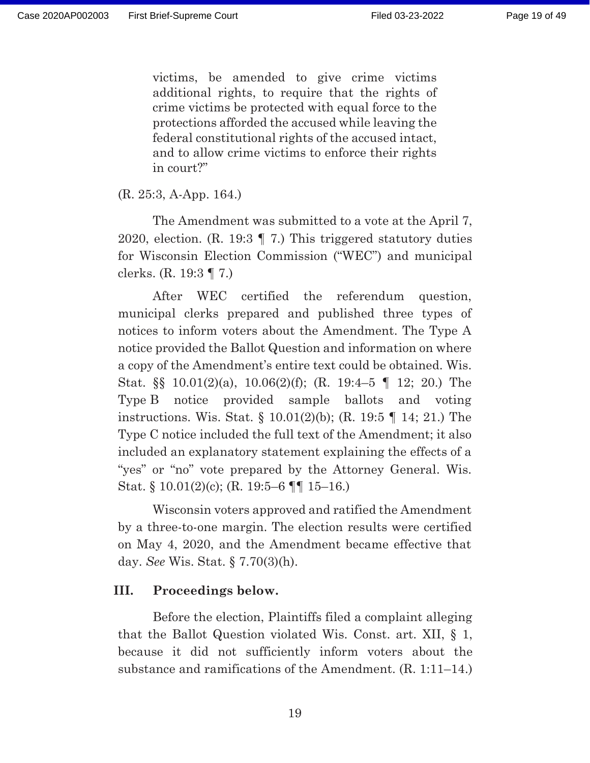victims, be amended to give crime victims additional rights, to require that the rights of crime victims be protected with equal force to the protections afforded the accused while leaving the federal constitutional rights of the accused intact, and to allow crime victims to enforce their rights in court?"

(R. 25:3, A-App. 164.)

The Amendment was submitted to a vote at the April 7, 2020, election. (R. 19:3 ¶ 7.) This triggered statutory duties for Wisconsin Election Commission ("WEC") and municipal clerks. (R. 19:3 ¶ 7.)

 After WEC certified the referendum question, municipal clerks prepared and published three types of notices to inform voters about the Amendment. The Type A notice provided the Ballot Question and information on where a copy of the Amendment's entire text could be obtained. Wis. Stat. §§ 10.01(2)(a), 10.06(2)(f); (R. 19:4–5 ¶ 12; 20.) The Type B notice provided sample ballots and voting instructions. Wis. Stat. § 10.01(2)(b); (R. 19:5 ¶ 14; 21.) The Type C notice included the full text of the Amendment; it also included an explanatory statement explaining the effects of a "yes" or "no" vote prepared by the Attorney General. Wis. Stat. § 10.01(2)(c); (R. 19:5–6 ¶¶ 15–16.)

 Wisconsin voters approved and ratified the Amendment by a three-to-one margin. The election results were certified on May 4, 2020, and the Amendment became effective that day. *See* Wis. Stat. § 7.70(3)(h).

### **III. Proceedings below.**

Before the election, Plaintiffs filed a complaint alleging that the Ballot Question violated Wis. Const. art. XII, § 1, because it did not sufficiently inform voters about the substance and ramifications of the Amendment. (R. 1:11–14.)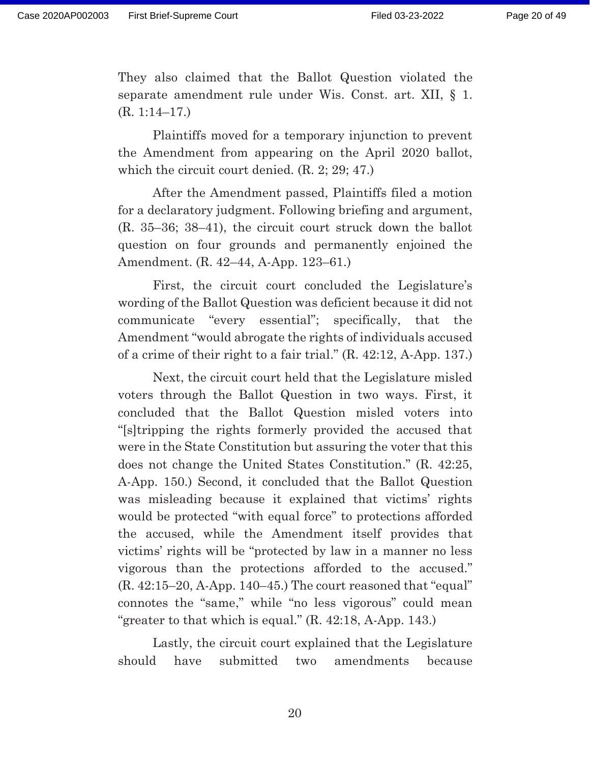They also claimed that the Ballot Question violated the separate amendment rule under Wis. Const. art. XII, § 1. (R. 1:14–17.)

Plaintiffs moved for a temporary injunction to prevent the Amendment from appearing on the April 2020 ballot, which the circuit court denied. (R. 2; 29; 47.)

After the Amendment passed, Plaintiffs filed a motion for a declaratory judgment. Following briefing and argument, (R. 35–36; 38–41), the circuit court struck down the ballot question on four grounds and permanently enjoined the Amendment. (R. 42–44, A-App. 123–61.)

First, the circuit court concluded the Legislature's wording of the Ballot Question was deficient because it did not communicate "every essential"; specifically, that the Amendment "would abrogate the rights of individuals accused of a crime of their right to a fair trial." (R. 42:12, A-App. 137.)

Next, the circuit court held that the Legislature misled voters through the Ballot Question in two ways. First, it concluded that the Ballot Question misled voters into "[s]tripping the rights formerly provided the accused that were in the State Constitution but assuring the voter that this does not change the United States Constitution." (R. 42:25, A-App. 150.) Second, it concluded that the Ballot Question was misleading because it explained that victims' rights would be protected "with equal force" to protections afforded the accused, while the Amendment itself provides that victims' rights will be "protected by law in a manner no less vigorous than the protections afforded to the accused."  $(R. 42:15-20, A-App. 140-45.)$  The court reasoned that "equal" connotes the "same," while "no less vigorous" could mean "greater to that which is equal."  $(R. 42:18, A-App. 143.)$ 

Lastly, the circuit court explained that the Legislature should have submitted two amendments because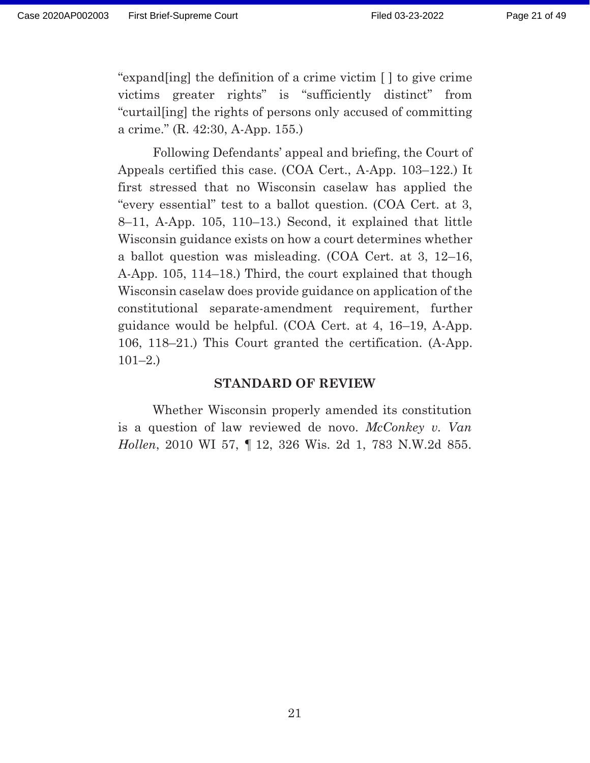"expand[ing] the definition of a crime victim [ ] to give crime victims greater rights" is "sufficiently distinct" from "curtail[ing] the rights of persons only accused of committing a crime." (R. 42:30, A-App. 155.)

Following Defendants' appeal and briefing, the Court of Appeals certified this case. (COA Cert., A-App. 103–122.) It first stressed that no Wisconsin caselaw has applied the "every essential" test to a ballot question. (COA Cert. at 3, 8–11, A-App. 105, 110–13.) Second, it explained that little Wisconsin guidance exists on how a court determines whether a ballot question was misleading. (COA Cert. at 3, 12–16, A-App. 105, 114–18.) Third, the court explained that though Wisconsin caselaw does provide guidance on application of the constitutional separate-amendment requirement, further guidance would be helpful. (COA Cert. at 4, 16–19, A-App. 106, 118–21.) This Court granted the certification. (A-App.  $101-2.$ 

#### **STANDARD OF REVIEW**

 Whether Wisconsin properly amended its constitution is a question of law reviewed de novo. *McConkey v. Van Hollen*, 2010 WI 57, ¶ 12, 326 Wis. 2d 1, 783 N.W.2d 855.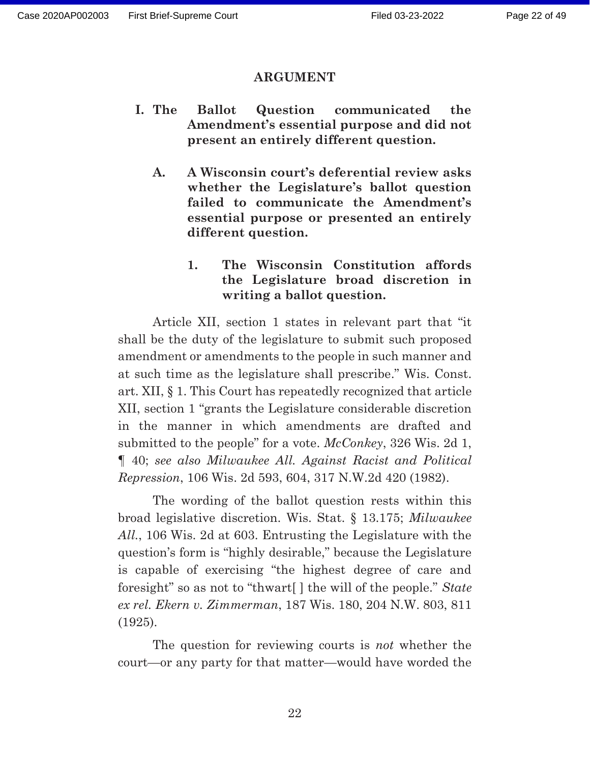#### **ARGUMENT**

- **I. The Ballot Question communicated the Amendment's essential purpose and did not present an entirely different question.** 
	- **A. A Wisconsin court's deferential review asks whether the Legislature's ballot question failed to communicate the Amendment's essential purpose or presented an entirely different question.**

### **1. The Wisconsin Constitution affords the Legislature broad discretion in writing a ballot question.**

Article XII, section 1 states in relevant part that "it shall be the duty of the legislature to submit such proposed amendment or amendments to the people in such manner and at such time as the legislature shall prescribe." Wis. Const. art. XII, § 1. This Court has repeatedly recognized that article XII, section 1 "grants the Legislature considerable discretion in the manner in which amendments are drafted and submitted to the people" for a vote. *McConkey*, 326 Wis. 2d 1, ¶ 40; *see also Milwaukee All. Against Racist and Political Repression*, 106 Wis. 2d 593, 604, 317 N.W.2d 420 (1982).

The wording of the ballot question rests within this broad legislative discretion. Wis. Stat. § 13.175; *Milwaukee All.*, 106 Wis. 2d at 603. Entrusting the Legislature with the question's form is "highly desirable," because the Legislature is capable of exercising "the highest degree of care and foresight" so as not to "thwart[ ] the will of the people." *State ex rel. Ekern v. Zimmerman*, 187 Wis. 180, 204 N.W. 803, 811 (1925).

The question for reviewing courts is *not* whether the court—or any party for that matter—would have worded the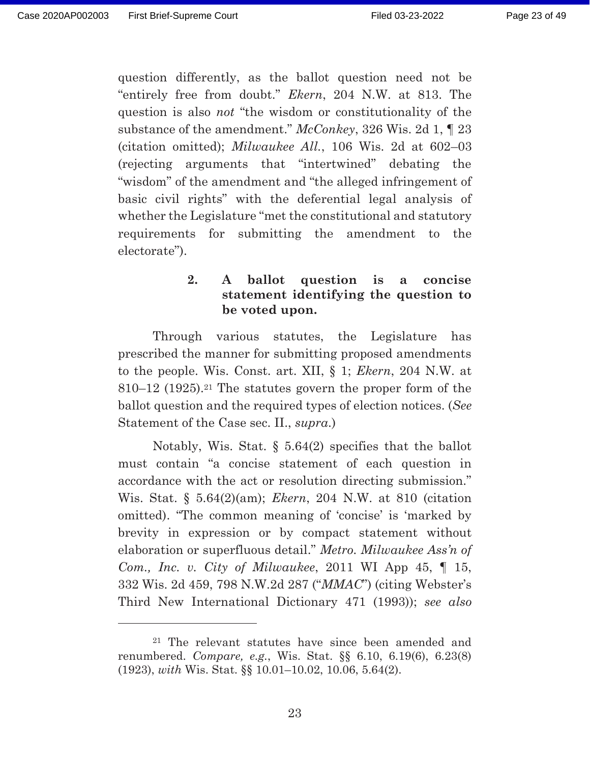Page 23 of 49

question differently, as the ballot question need not be "entirely free from doubt." *Ekern*, 204 N.W. at 813. The question is also *not* "the wisdom or constitutionality of the substance of the amendment." *McConkey*, 326 Wis. 2d 1, ¶ 23 (citation omitted); *Milwaukee All.*, 106 Wis. 2d at 602–03 (rejecting arguments that "intertwined" debating the "wisdom" of the amendment and "the alleged infringement of basic civil rights" with the deferential legal analysis of whether the Legislature "met the constitutional and statutory requirements for submitting the amendment to the electorate").

### **2. A ballot question is a concise statement identifying the question to be voted upon.**

 Through various statutes, the Legislature has prescribed the manner for submitting proposed amendments to the people. Wis. Const. art. XII, § 1; *Ekern*, 204 N.W. at 810–12 (1925).21 The statutes govern the proper form of the ballot question and the required types of election notices. (*See*  Statement of the Case sec. II., *supra*.)

 Notably, Wis. Stat. § 5.64(2) specifies that the ballot must contain "a concise statement of each question in accordance with the act or resolution directing submission." Wis. Stat. § 5.64(2)(am); *Ekern*, 204 N.W. at 810 (citation omitted). "The common meaning of 'concise' is 'marked by brevity in expression or by compact statement without elaboration or superfluous detail." *Metro. Milwaukee Ass'n of Com., Inc. v. City of Milwaukee*, 2011 WI App 45, ¶ 15, 332 Wis. 2d 459, 798 N.W.2d 287 ("*MMAC*") (citing Webster's Third New International Dictionary 471 (1993)); *see also* 

<sup>21</sup> The relevant statutes have since been amended and renumbered. *Compare, e.g.*, Wis. Stat. §§ 6.10, 6.19(6), 6.23(8) (1923), *with* Wis. Stat. §§ 10.01–10.02, 10.06, 5.64(2).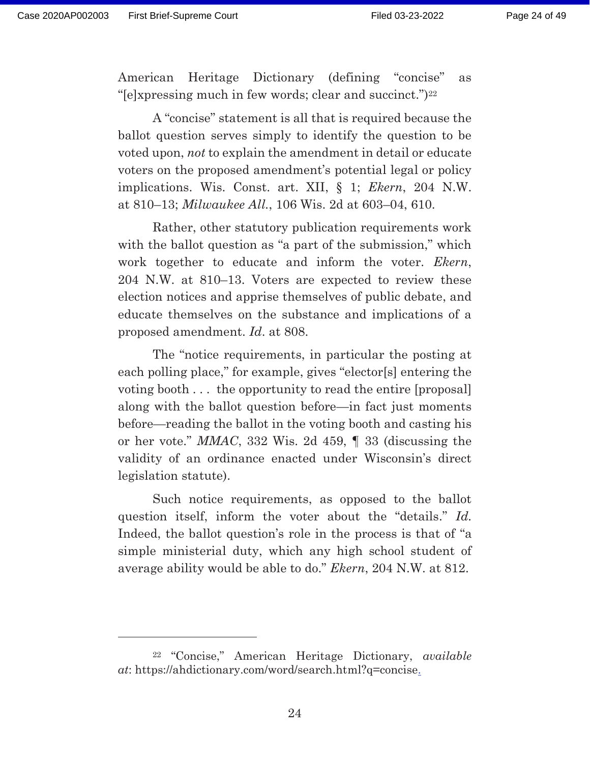American Heritage Dictionary (defining "concise" as "[e]xpressing much in few words; clear and succinct.")<sup>22</sup>

 A "concise" statement is all that is required because the ballot question serves simply to identify the question to be voted upon, *not* to explain the amendment in detail or educate voters on the proposed amendment's potential legal or policy implications. Wis. Const. art. XII, § 1; *Ekern*, 204 N.W. at 810–13; *Milwaukee All.*, 106 Wis. 2d at 603–04, 610.

 Rather, other statutory publication requirements work with the ballot question as "a part of the submission," which work together to educate and inform the voter. *Ekern*, 204 N.W. at 810–13. Voters are expected to review these election notices and apprise themselves of public debate, and educate themselves on the substance and implications of a proposed amendment. *Id*. at 808.

 The "notice requirements, in particular the posting at each polling place," for example, gives "elector[s] entering the voting booth . . . the opportunity to read the entire [proposal] along with the ballot question before—in fact just moments before—reading the ballot in the voting booth and casting his or her vote." *MMAC*, 332 Wis. 2d 459, ¶ 33 (discussing the validity of an ordinance enacted under Wisconsin's direct legislation statute).

 Such notice requirements, as opposed to the ballot question itself, inform the voter about the "details." *Id.* Indeed, the ballot question's role in the process is that of "a simple ministerial duty, which any high school student of average ability would be able to do." *Ekern*, 204 N.W. at 812.

<sup>22 &</sup>quot;Concise," American Heritage Dictionary, *available at*: https://ahdictionary.com/word/search.html?q=concise.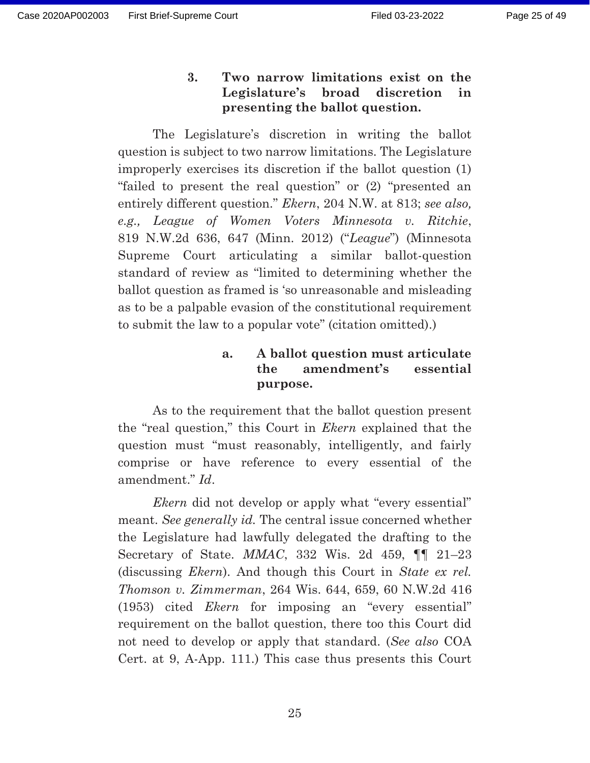**3. Two narrow limitations exist on the Legislature's broad discretion in presenting the ballot question.** 

 The Legislature's discretion in writing the ballot question is subject to two narrow limitations. The Legislature improperly exercises its discretion if the ballot question (1) "failed to present the real question" or (2) "presented an entirely different question." *Ekern*, 204 N.W. at 813; *see also, e.g., League of Women Voters Minnesota v. Ritchie*, 819 N.W.2d 636, 647 (Minn. 2012) ("*League*") (Minnesota Supreme Court articulating a similar ballot-question standard of review as "limited to determining whether the ballot question as framed is 'so unreasonable and misleading as to be a palpable evasion of the constitutional requirement to submit the law to a popular vote" (citation omitted).)

### **a. A ballot question must articulate the amendment's essential purpose.**

 As to the requirement that the ballot question present the "real question," this Court in *Ekern* explained that the question must "must reasonably, intelligently, and fairly comprise or have reference to every essential of the amendment." *Id*.

*Ekern* did not develop or apply what "every essential" meant. *See generally id.* The central issue concerned whether the Legislature had lawfully delegated the drafting to the Secretary of State. *MMAC*, 332 Wis. 2d 459, ¶¶ 21–23 (discussing *Ekern*). And though this Court in *State ex rel. Thomson v. Zimmerman*, 264 Wis. 644, 659, 60 N.W.2d 416 (1953) cited *Ekern* for imposing an "every essential" requirement on the ballot question, there too this Court did not need to develop or apply that standard. (*See also* COA Cert. at 9, A-App. 111.) This case thus presents this Court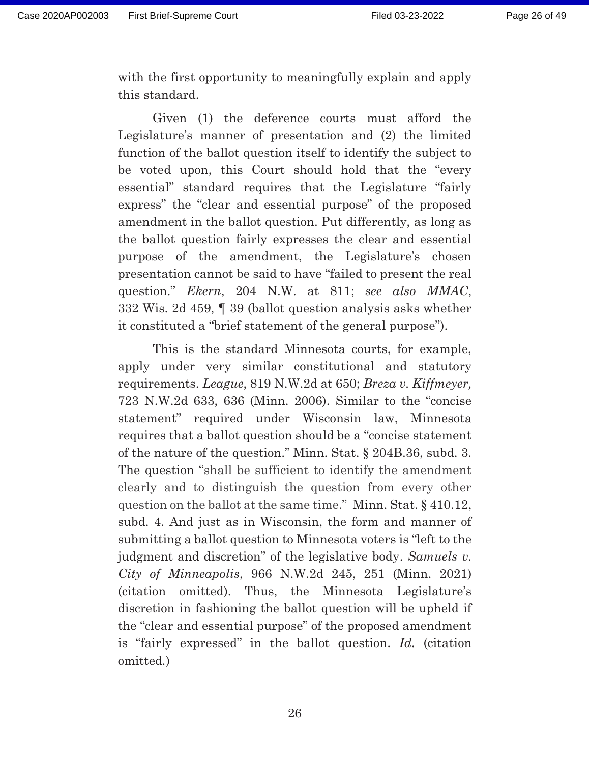with the first opportunity to meaningfully explain and apply this standard.

 Given (1) the deference courts must afford the Legislature's manner of presentation and (2) the limited function of the ballot question itself to identify the subject to be voted upon, this Court should hold that the "every essential" standard requires that the Legislature "fairly express" the "clear and essential purpose" of the proposed amendment in the ballot question. Put differently, as long as the ballot question fairly expresses the clear and essential purpose of the amendment, the Legislature's chosen presentation cannot be said to have "failed to present the real question." *Ekern*, 204 N.W. at 811; *see also MMAC*, 332 Wis. 2d 459, ¶ 39 (ballot question analysis asks whether it constituted a "brief statement of the general purpose").

 This is the standard Minnesota courts, for example, apply under very similar constitutional and statutory requirements. *League*, 819 N.W.2d at 650; *Breza v. Kiffmeyer,*  723 N.W.2d 633, 636 (Minn. 2006). Similar to the "concise statement" required under Wisconsin law, Minnesota requires that a ballot question should be a "concise statement of the nature of the question." Minn. Stat. § 204B.36, subd. 3. The question "shall be sufficient to identify the amendment clearly and to distinguish the question from every other question on the ballot at the same time." Minn. Stat. § 410.12, subd. 4. And just as in Wisconsin, the form and manner of submitting a ballot question to Minnesota voters is "left to the judgment and discretion" of the legislative body. *Samuels v. City of Minneapolis*, 966 N.W.2d 245, 251 (Minn. 2021) (citation omitted). Thus, the Minnesota Legislature's discretion in fashioning the ballot question will be upheld if the "clear and essential purpose" of the proposed amendment is "fairly expressed" in the ballot question. *Id.* (citation omitted*.*)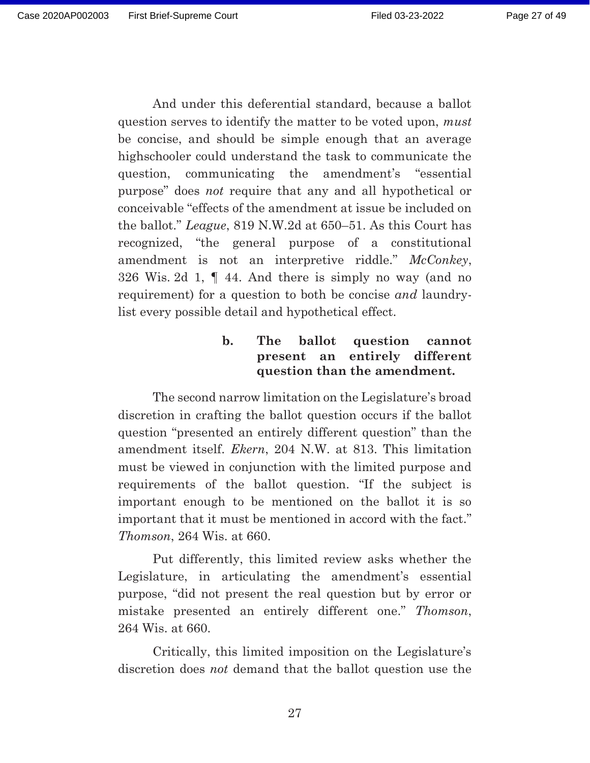And under this deferential standard, because a ballot question serves to identify the matter to be voted upon, *must* be concise, and should be simple enough that an average highschooler could understand the task to communicate the question, communicating the amendment's "essential purpose" does *not* require that any and all hypothetical or conceivable "effects of the amendment at issue be included on the ballot." *League*, 819 N.W.2d at 650–51. As this Court has recognized, "the general purpose of a constitutional amendment is not an interpretive riddle." *McConkey*, 326 Wis. 2d 1, ¶ 44. And there is simply no way (and no requirement) for a question to both be concise *and* laundrylist every possible detail and hypothetical effect.

### **b. The ballot question cannot present an entirely different question than the amendment.**

 The second narrow limitation on the Legislature's broad discretion in crafting the ballot question occurs if the ballot question "presented an entirely different question" than the amendment itself. *Ekern*, 204 N.W. at 813. This limitation must be viewed in conjunction with the limited purpose and requirements of the ballot question. "If the subject is important enough to be mentioned on the ballot it is so important that it must be mentioned in accord with the fact." *Thomson*, 264 Wis. at 660.

Put differently, this limited review asks whether the Legislature, in articulating the amendment's essential purpose, "did not present the real question but by error or mistake presented an entirely different one." *Thomson*, 264 Wis. at 660.

Critically, this limited imposition on the Legislature's discretion does *not* demand that the ballot question use the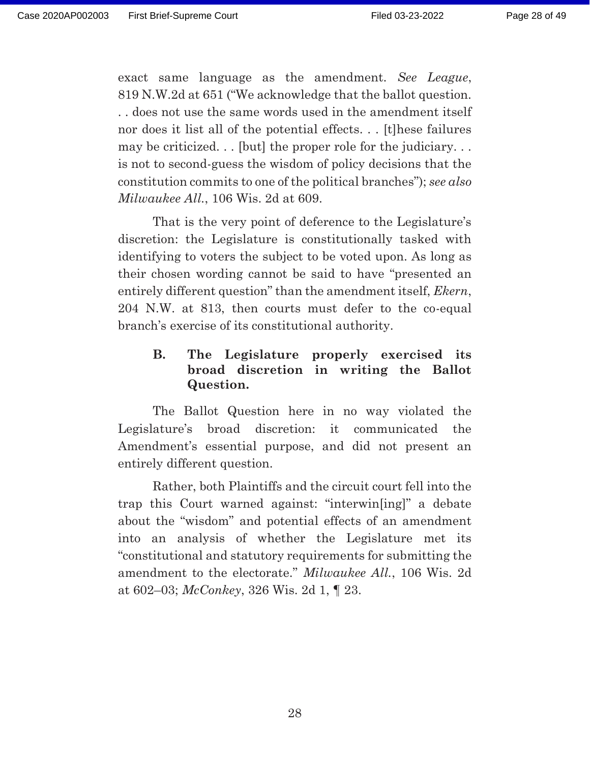Page 28 of 49

exact same language as the amendment. *See League*, 819 N.W.2d at 651 ("We acknowledge that the ballot question. . . does not use the same words used in the amendment itself nor does it list all of the potential effects. . . [t]hese failures may be criticized... [but] the proper role for the judiciary... is not to second-guess the wisdom of policy decisions that the constitution commits to one of the political branches"); *see also Milwaukee All.*, 106 Wis. 2d at 609.

 That is the very point of deference to the Legislature's discretion: the Legislature is constitutionally tasked with identifying to voters the subject to be voted upon. As long as their chosen wording cannot be said to have "presented an entirely different question" than the amendment itself, *Ekern*, 204 N.W. at 813, then courts must defer to the co-equal branch's exercise of its constitutional authority.

## **B. The Legislature properly exercised its broad discretion in writing the Ballot Question.**

 The Ballot Question here in no way violated the Legislature's broad discretion: it communicated the Amendment's essential purpose, and did not present an entirely different question.

 Rather, both Plaintiffs and the circuit court fell into the trap this Court warned against: "interwin[ing]" a debate about the "wisdom" and potential effects of an amendment into an analysis of whether the Legislature met its "constitutional and statutory requirements for submitting the amendment to the electorate." *Milwaukee All.*, 106 Wis. 2d at 602–03; *McConkey*, 326 Wis. 2d 1, ¶ 23.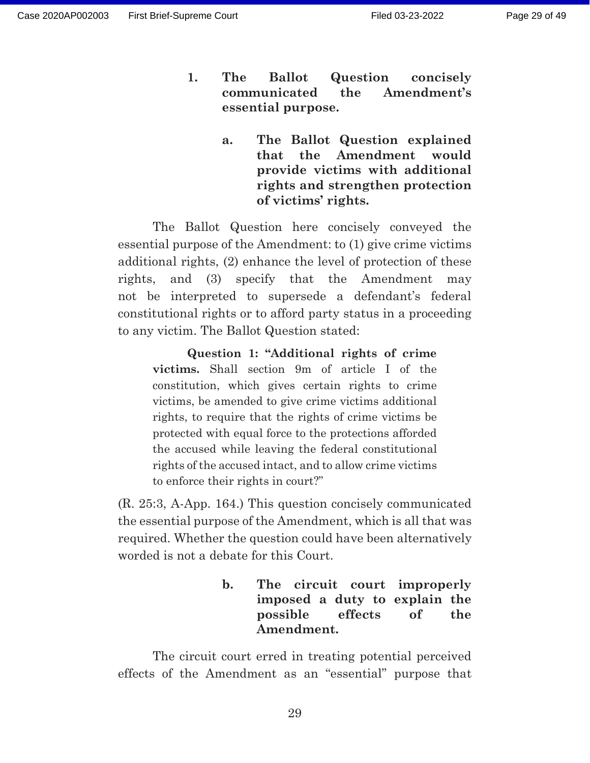- **1. The Ballot Question concisely communicated the Amendment's essential purpose.** 
	- **a. The Ballot Question explained that the Amendment would provide victims with additional rights and strengthen protection of victims' rights.**

The Ballot Question here concisely conveyed the essential purpose of the Amendment: to (1) give crime victims additional rights, (2) enhance the level of protection of these rights, and (3) specify that the Amendment may not be interpreted to supersede a defendant's federal constitutional rights or to afford party status in a proceeding to any victim. The Ballot Question stated:

**Question 1: "Additional rights of crime victims.** Shall section 9m of article I of the constitution, which gives certain rights to crime victims, be amended to give crime victims additional rights, to require that the rights of crime victims be protected with equal force to the protections afforded the accused while leaving the federal constitutional rights of the accused intact, and to allow crime victims to enforce their rights in court?"

(R. 25:3, A-App. 164.) This question concisely communicated the essential purpose of the Amendment, which is all that was required. Whether the question could have been alternatively worded is not a debate for this Court.

> **b. The circuit court improperly imposed a duty to explain the possible effects of the Amendment.**

 The circuit court erred in treating potential perceived effects of the Amendment as an "essential" purpose that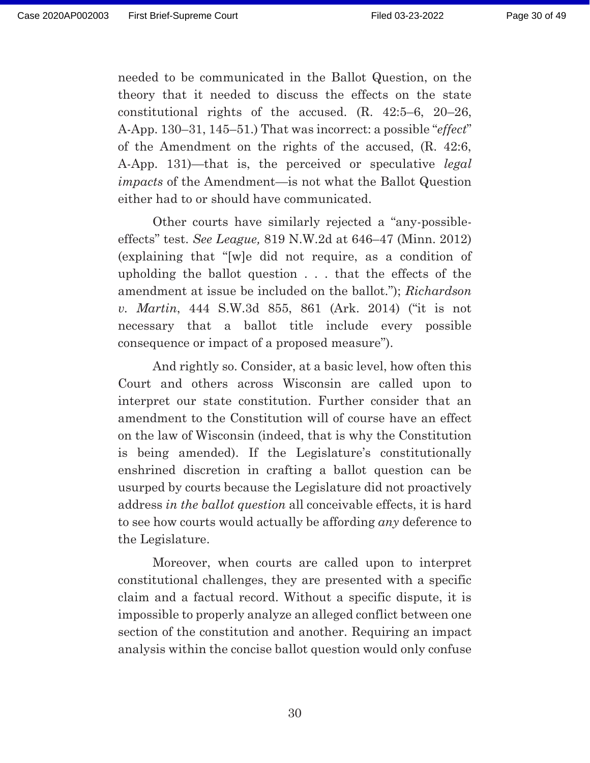needed to be communicated in the Ballot Question, on the theory that it needed to discuss the effects on the state constitutional rights of the accused. (R. 42:5–6, 20–26, A-App. 130–31, 145–51.) That was incorrect: a possible "*effect*" of the Amendment on the rights of the accused, (R. 42:6, A-App. 131)—that is, the perceived or speculative *legal impacts* of the Amendment—is not what the Ballot Question either had to or should have communicated.

 Other courts have similarly rejected a "any-possibleeffects" test. *See League,* 819 N.W.2d at 646–47 (Minn. 2012) (explaining that "[w]e did not require, as a condition of upholding the ballot question . . . that the effects of the amendment at issue be included on the ballot."); *Richardson v. Martin*, 444 S.W.3d 855, 861 (Ark. 2014) ("it is not necessary that a ballot title include every possible consequence or impact of a proposed measure").

 And rightly so. Consider, at a basic level, how often this Court and others across Wisconsin are called upon to interpret our state constitution. Further consider that an amendment to the Constitution will of course have an effect on the law of Wisconsin (indeed, that is why the Constitution is being amended). If the Legislature's constitutionally enshrined discretion in crafting a ballot question can be usurped by courts because the Legislature did not proactively address *in the ballot question* all conceivable effects, it is hard to see how courts would actually be affording *any* deference to the Legislature.

 Moreover, when courts are called upon to interpret constitutional challenges, they are presented with a specific claim and a factual record. Without a specific dispute, it is impossible to properly analyze an alleged conflict between one section of the constitution and another. Requiring an impact analysis within the concise ballot question would only confuse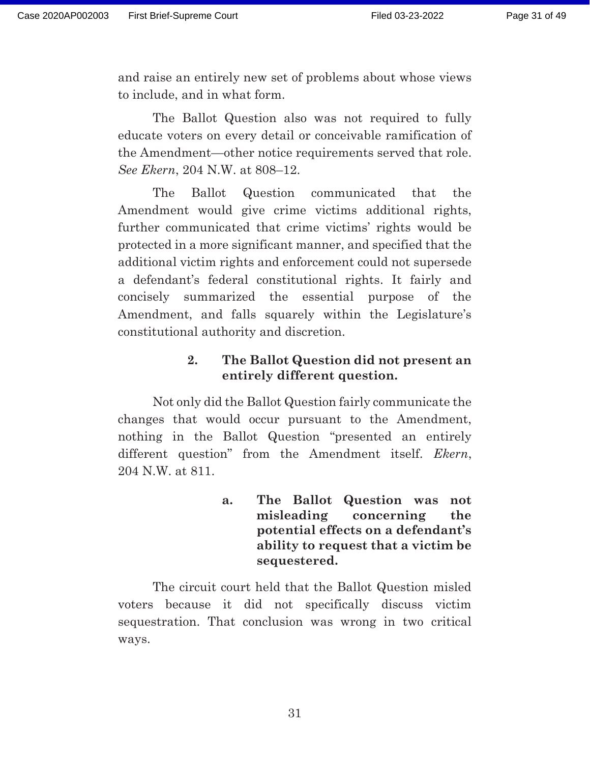and raise an entirely new set of problems about whose views to include, and in what form.

 The Ballot Question also was not required to fully educate voters on every detail or conceivable ramification of the Amendment—other notice requirements served that role. *See Ekern*, 204 N.W. at 808–12.

The Ballot Question communicated that the Amendment would give crime victims additional rights, further communicated that crime victims' rights would be protected in a more significant manner, and specified that the additional victim rights and enforcement could not supersede a defendant's federal constitutional rights. It fairly and concisely summarized the essential purpose of the Amendment, and falls squarely within the Legislature's constitutional authority and discretion.

## **2. The Ballot Question did not present an entirely different question.**

 Not only did the Ballot Question fairly communicate the changes that would occur pursuant to the Amendment, nothing in the Ballot Question "presented an entirely different question" from the Amendment itself. *Ekern*, 204 N.W. at 811.

> **a. The Ballot Question was not misleading concerning the potential effects on a defendant's ability to request that a victim be sequestered.**

The circuit court held that the Ballot Question misled voters because it did not specifically discuss victim sequestration. That conclusion was wrong in two critical ways.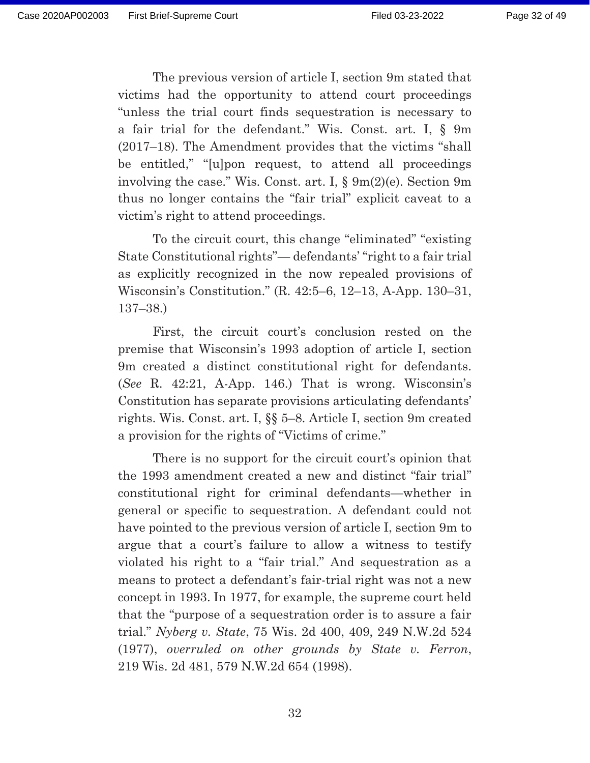The previous version of article I, section 9m stated that victims had the opportunity to attend court proceedings "unless the trial court finds sequestration is necessary to a fair trial for the defendant." Wis. Const. art. I, § 9m (2017–18). The Amendment provides that the victims "shall be entitled," "[u]pon request, to attend all proceedings involving the case." Wis. Const. art. I, § 9m(2)(e). Section 9m thus no longer contains the "fair trial" explicit caveat to a victim's right to attend proceedings.

 To the circuit court, this change "eliminated" "existing State Constitutional rights"— defendants' "right to a fair trial as explicitly recognized in the now repealed provisions of Wisconsin's Constitution." (R. 42:5–6, 12–13, A-App. 130–31, 137–38.)

 First, the circuit court's conclusion rested on the premise that Wisconsin's 1993 adoption of article I, section 9m created a distinct constitutional right for defendants. (*See* R. 42:21, A-App. 146.) That is wrong. Wisconsin's Constitution has separate provisions articulating defendants' rights. Wis. Const. art. I, §§ 5–8. Article I, section 9m created a provision for the rights of "Victims of crime."

 There is no support for the circuit court's opinion that the 1993 amendment created a new and distinct "fair trial" constitutional right for criminal defendants—whether in general or specific to sequestration. A defendant could not have pointed to the previous version of article I, section 9m to argue that a court's failure to allow a witness to testify violated his right to a "fair trial." And sequestration as a means to protect a defendant's fair-trial right was not a new concept in 1993. In 1977, for example, the supreme court held that the "purpose of a sequestration order is to assure a fair trial." *Nyberg v. State*, 75 Wis. 2d 400, 409, 249 N.W.2d 524 (1977), *overruled on other grounds by State v. Ferron*, 219 Wis. 2d 481, 579 N.W.2d 654 (1998).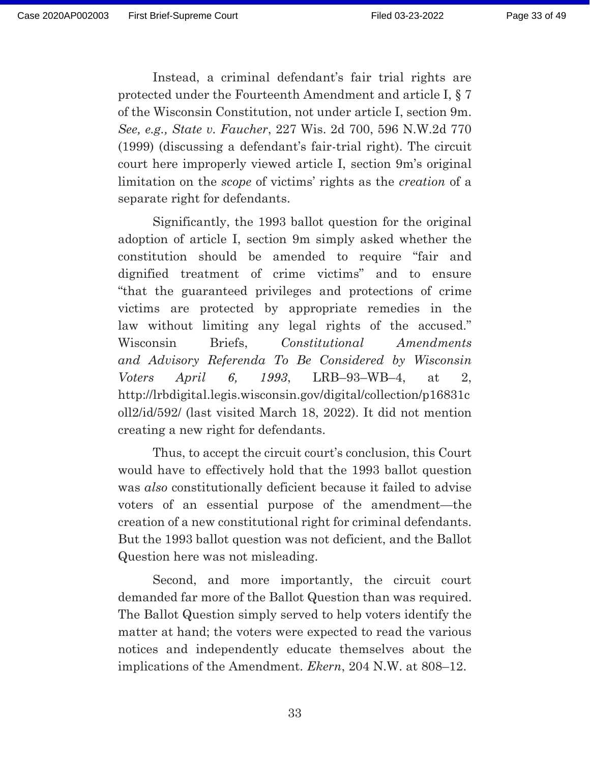Instead, a criminal defendant's fair trial rights are protected under the Fourteenth Amendment and article I, § 7 of the Wisconsin Constitution, not under article I, section 9m. *See, e.g., State v. Faucher*, 227 Wis. 2d 700, 596 N.W.2d 770 (1999) (discussing a defendant's fair-trial right). The circuit court here improperly viewed article I, section 9m's original limitation on the *scope* of victims' rights as the *creation* of a separate right for defendants.

 Significantly, the 1993 ballot question for the original adoption of article I, section 9m simply asked whether the constitution should be amended to require "fair and dignified treatment of crime victims" and to ensure "that the guaranteed privileges and protections of crime victims are protected by appropriate remedies in the law without limiting any legal rights of the accused." Wisconsin Briefs, *Constitutional Amendments and Advisory Referenda To Be Considered by Wisconsin Voters April 6, 1993*, LRB–93–WB–4, at 2, http://lrbdigital.legis.wisconsin.gov/digital/collection/p16831c oll2/id/592/ (last visited March 18, 2022). It did not mention creating a new right for defendants.

 Thus, to accept the circuit court's conclusion, this Court would have to effectively hold that the 1993 ballot question was *also* constitutionally deficient because it failed to advise voters of an essential purpose of the amendment—the creation of a new constitutional right for criminal defendants. But the 1993 ballot question was not deficient, and the Ballot Question here was not misleading.

 Second, and more importantly, the circuit court demanded far more of the Ballot Question than was required. The Ballot Question simply served to help voters identify the matter at hand; the voters were expected to read the various notices and independently educate themselves about the implications of the Amendment. *Ekern*, 204 N.W. at 808–12.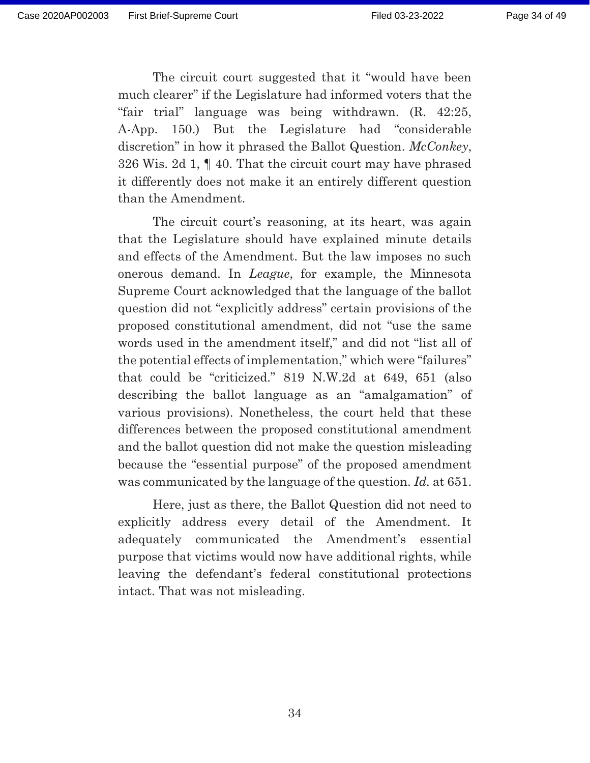The circuit court suggested that it "would have been much clearer" if the Legislature had informed voters that the "fair trial" language was being withdrawn. (R. 42:25, A-App. 150.) But the Legislature had "considerable discretion" in how it phrased the Ballot Question. *McConkey*, 326 Wis. 2d 1, ¶ 40. That the circuit court may have phrased it differently does not make it an entirely different question than the Amendment.

 The circuit court's reasoning, at its heart, was again that the Legislature should have explained minute details and effects of the Amendment. But the law imposes no such onerous demand. In *League*, for example, the Minnesota Supreme Court acknowledged that the language of the ballot question did not "explicitly address" certain provisions of the proposed constitutional amendment, did not "use the same words used in the amendment itself," and did not "list all of the potential effects of implementation," which were "failures" that could be "criticized." 819 N.W.2d at 649, 651 (also describing the ballot language as an "amalgamation" of various provisions). Nonetheless, the court held that these differences between the proposed constitutional amendment and the ballot question did not make the question misleading because the "essential purpose" of the proposed amendment was communicated by the language of the question. *Id.* at 651.

Here, just as there, the Ballot Question did not need to explicitly address every detail of the Amendment. It adequately communicated the Amendment's essential purpose that victims would now have additional rights, while leaving the defendant's federal constitutional protections intact. That was not misleading.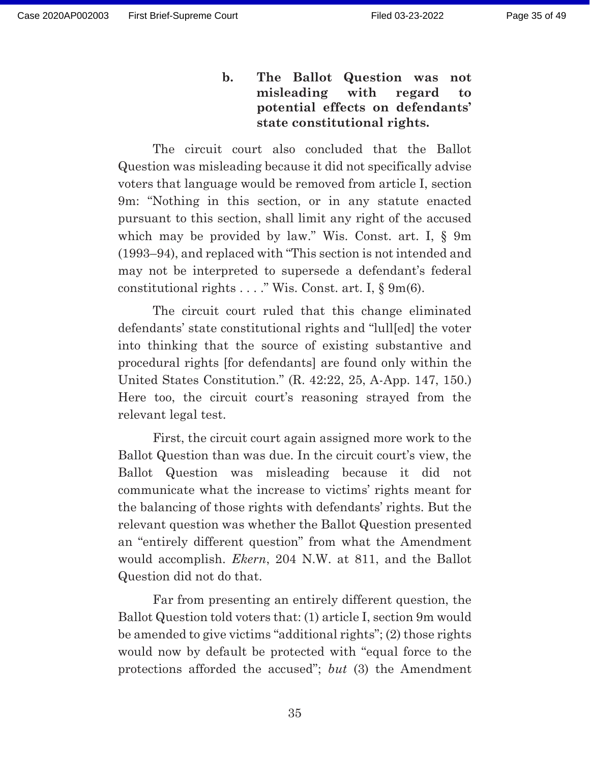**b. The Ballot Question was not misleading with regard to potential effects on defendants' state constitutional rights.** 

The circuit court also concluded that the Ballot Question was misleading because it did not specifically advise voters that language would be removed from article I, section 9m: "Nothing in this section, or in any statute enacted pursuant to this section, shall limit any right of the accused which may be provided by law." Wis. Const. art. I, § 9m (1993–94), and replaced with "This section is not intended and may not be interpreted to supersede a defendant's federal constitutional rights . . . ." Wis. Const. art. I, § 9m(6).

 The circuit court ruled that this change eliminated defendants' state constitutional rights and "lull[ed] the voter into thinking that the source of existing substantive and procedural rights [for defendants] are found only within the United States Constitution." (R. 42:22, 25, A-App. 147, 150.) Here too, the circuit court's reasoning strayed from the relevant legal test.

 First, the circuit court again assigned more work to the Ballot Question than was due. In the circuit court's view, the Ballot Question was misleading because it did not communicate what the increase to victims' rights meant for the balancing of those rights with defendants' rights. But the relevant question was whether the Ballot Question presented an "entirely different question" from what the Amendment would accomplish. *Ekern*, 204 N.W. at 811, and the Ballot Question did not do that.

 Far from presenting an entirely different question, the Ballot Question told voters that: (1) article I, section 9m would be amended to give victims "additional rights"; (2) those rights would now by default be protected with "equal force to the protections afforded the accused"; *but* (3) the Amendment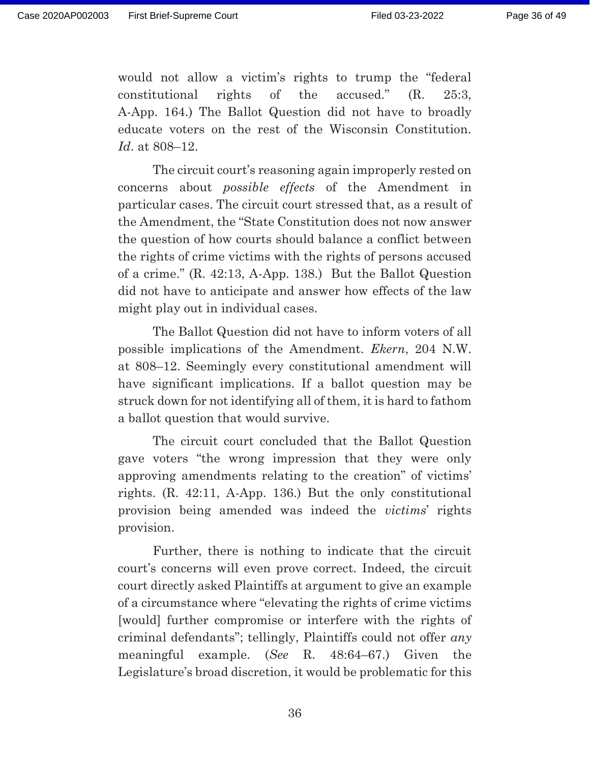would not allow a victim's rights to trump the "federal constitutional rights of the accused." (R. 25:3, A-App. 164.) The Ballot Question did not have to broadly educate voters on the rest of the Wisconsin Constitution. *Id*. at 808–12.

 The circuit court's reasoning again improperly rested on concerns about *possible effects* of the Amendment in particular cases. The circuit court stressed that, as a result of the Amendment, the "State Constitution does not now answer the question of how courts should balance a conflict between the rights of crime victims with the rights of persons accused of a crime." (R. 42:13, A-App. 138.) But the Ballot Question did not have to anticipate and answer how effects of the law might play out in individual cases.

 The Ballot Question did not have to inform voters of all possible implications of the Amendment. *Ekern*, 204 N.W. at 808–12. Seemingly every constitutional amendment will have significant implications. If a ballot question may be struck down for not identifying all of them, it is hard to fathom a ballot question that would survive.

 The circuit court concluded that the Ballot Question gave voters "the wrong impression that they were only approving amendments relating to the creation" of victims' rights. (R. 42:11, A-App. 136.) But the only constitutional provision being amended was indeed the *victims*' rights provision.

 Further, there is nothing to indicate that the circuit court's concerns will even prove correct. Indeed, the circuit court directly asked Plaintiffs at argument to give an example of a circumstance where "elevating the rights of crime victims [would] further compromise or interfere with the rights of criminal defendants"; tellingly, Plaintiffs could not offer *any* meaningful example. (*See* R. 48:64–67.) Given the Legislature's broad discretion, it would be problematic for this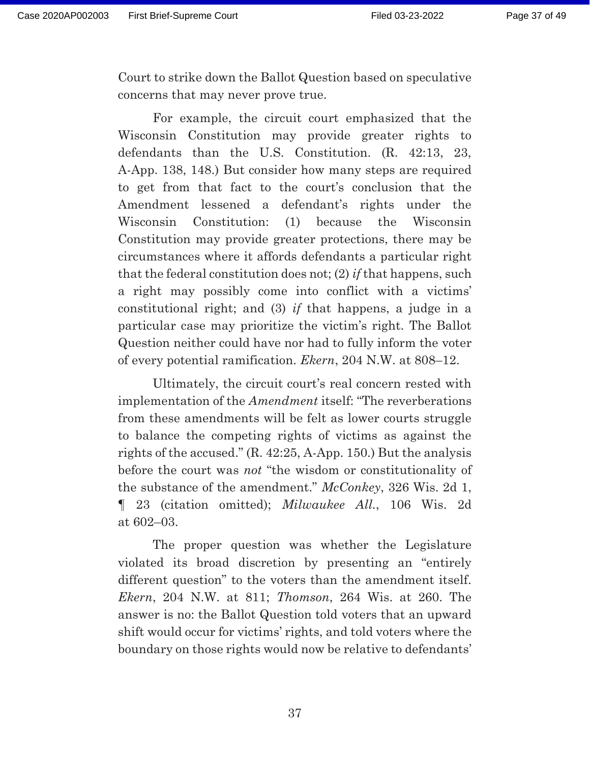Court to strike down the Ballot Question based on speculative concerns that may never prove true.

 For example, the circuit court emphasized that the Wisconsin Constitution may provide greater rights to defendants than the U.S. Constitution. (R. 42:13, 23, A-App. 138, 148.) But consider how many steps are required to get from that fact to the court's conclusion that the Amendment lessened a defendant's rights under the Wisconsin Constitution: (1) because the Wisconsin Constitution may provide greater protections, there may be circumstances where it affords defendants a particular right that the federal constitution does not; (2) *if* that happens, such a right may possibly come into conflict with a victims' constitutional right; and (3) *if* that happens, a judge in a particular case may prioritize the victim's right. The Ballot Question neither could have nor had to fully inform the voter of every potential ramification. *Ekern*, 204 N.W. at 808–12.

 Ultimately, the circuit court's real concern rested with implementation of the *Amendment* itself: "The reverberations from these amendments will be felt as lower courts struggle to balance the competing rights of victims as against the rights of the accused." (R. 42:25, A-App. 150.) But the analysis before the court was *not* "the wisdom or constitutionality of the substance of the amendment." *McConkey*, 326 Wis. 2d 1, ¶ 23 (citation omitted); *Milwaukee All.*, 106 Wis. 2d at 602–03.

 The proper question was whether the Legislature violated its broad discretion by presenting an "entirely different question" to the voters than the amendment itself. *Ekern*, 204 N.W. at 811; *Thomson*, 264 Wis. at 260. The answer is no: the Ballot Question told voters that an upward shift would occur for victims' rights, and told voters where the boundary on those rights would now be relative to defendants'

37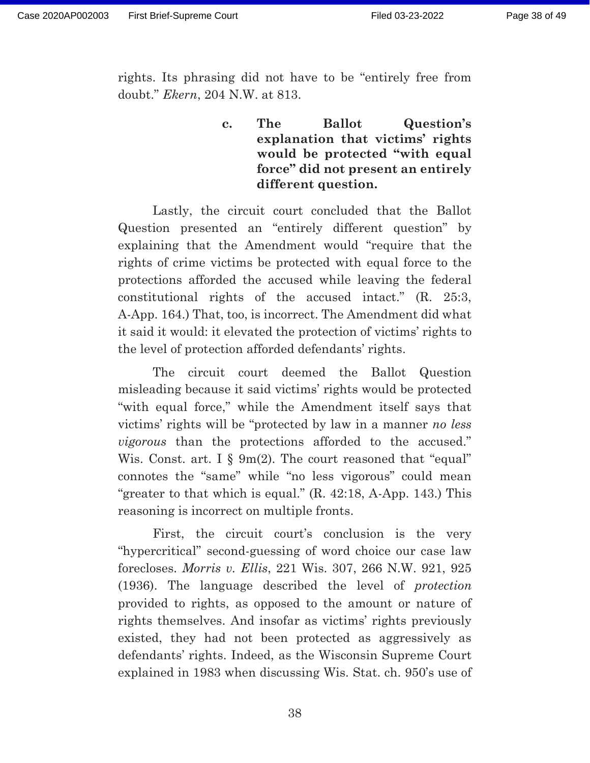rights. Its phrasing did not have to be "entirely free from doubt." *Ekern*, 204 N.W. at 813.

## **c. The Ballot Question's explanation that victims' rights would be protected "with equal force" did not present an entirely different question.**

Lastly, the circuit court concluded that the Ballot Question presented an "entirely different question" by explaining that the Amendment would "require that the rights of crime victims be protected with equal force to the protections afforded the accused while leaving the federal constitutional rights of the accused intact." (R. 25:3, A-App. 164.) That, too, is incorrect. The Amendment did what it said it would: it elevated the protection of victims' rights to the level of protection afforded defendants' rights.

 The circuit court deemed the Ballot Question misleading because it said victims' rights would be protected "with equal force," while the Amendment itself says that victims' rights will be "protected by law in a manner *no less vigorous* than the protections afforded to the accused." Wis. Const. art. I § 9m(2). The court reasoned that "equal" connotes the "same" while "no less vigorous" could mean "greater to that which is equal." (R. 42:18, A-App. 143.) This reasoning is incorrect on multiple fronts.

 First, the circuit court's conclusion is the very "hypercritical" second-guessing of word choice our case law forecloses. *Morris v. Ellis*, 221 Wis. 307, 266 N.W. 921, 925 (1936). The language described the level of *protection*  provided to rights, as opposed to the amount or nature of rights themselves. And insofar as victims' rights previously existed, they had not been protected as aggressively as defendants' rights. Indeed, as the Wisconsin Supreme Court explained in 1983 when discussing Wis. Stat. ch. 950's use of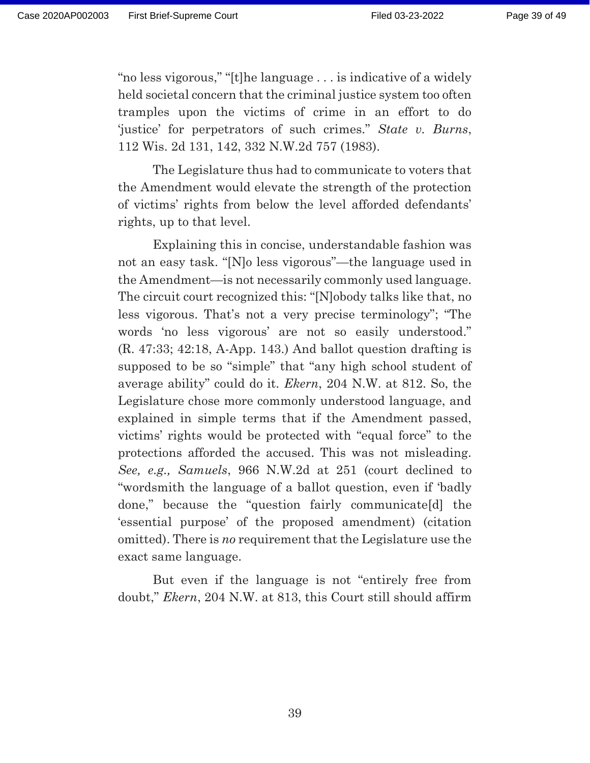"no less vigorous," "[t]he language . . . is indicative of a widely held societal concern that the criminal justice system too often tramples upon the victims of crime in an effort to do 'justice' for perpetrators of such crimes." *State v. Burns*, 112 Wis. 2d 131, 142, 332 N.W.2d 757 (1983).

 The Legislature thus had to communicate to voters that the Amendment would elevate the strength of the protection of victims' rights from below the level afforded defendants' rights, up to that level.

 Explaining this in concise, understandable fashion was not an easy task. "[N]o less vigorous"—the language used in the Amendment—is not necessarily commonly used language. The circuit court recognized this: "[N]obody talks like that, no less vigorous. That's not a very precise terminology"; "The words 'no less vigorous' are not so easily understood." (R. 47:33; 42:18, A-App. 143.) And ballot question drafting is supposed to be so "simple" that "any high school student of average ability" could do it. *Ekern*, 204 N.W. at 812. So, the Legislature chose more commonly understood language, and explained in simple terms that if the Amendment passed, victims' rights would be protected with "equal force" to the protections afforded the accused. This was not misleading. *See, e.g., Samuels*, 966 N.W.2d at 251 (court declined to "wordsmith the language of a ballot question, even if 'badly done," because the "question fairly communicate[d] the 'essential purpose' of the proposed amendment) (citation omitted). There is *no* requirement that the Legislature use the exact same language.

 But even if the language is not "entirely free from doubt," *Ekern*, 204 N.W. at 813, this Court still should affirm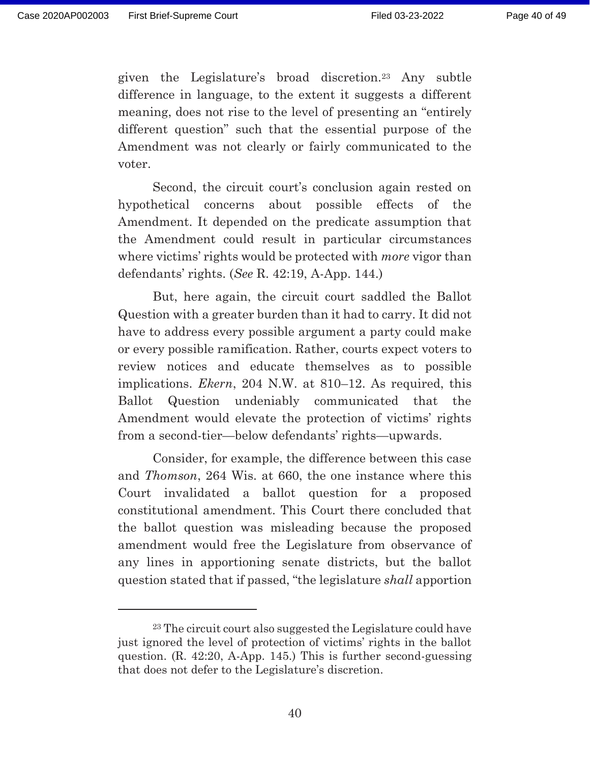given the Legislature's broad discretion.23 Any subtle difference in language, to the extent it suggests a different meaning, does not rise to the level of presenting an "entirely different question" such that the essential purpose of the Amendment was not clearly or fairly communicated to the voter.

 Second, the circuit court's conclusion again rested on hypothetical concerns about possible effects of the Amendment. It depended on the predicate assumption that the Amendment could result in particular circumstances where victims' rights would be protected with *more* vigor than defendants' rights. (*See* R. 42:19, A-App. 144.)

 But, here again, the circuit court saddled the Ballot Question with a greater burden than it had to carry. It did not have to address every possible argument a party could make or every possible ramification. Rather, courts expect voters to review notices and educate themselves as to possible implications. *Ekern*, 204 N.W. at 810–12. As required, this Ballot Question undeniably communicated that the Amendment would elevate the protection of victims' rights from a second-tier—below defendants' rights—upwards.

 Consider, for example, the difference between this case and *Thomson*, 264 Wis. at 660, the one instance where this Court invalidated a ballot question for a proposed constitutional amendment. This Court there concluded that the ballot question was misleading because the proposed amendment would free the Legislature from observance of any lines in apportioning senate districts, but the ballot question stated that if passed, "the legislature *shall* apportion

<sup>23</sup> The circuit court also suggested the Legislature could have just ignored the level of protection of victims' rights in the ballot question. (R. 42:20, A-App. 145.) This is further second-guessing that does not defer to the Legislature's discretion.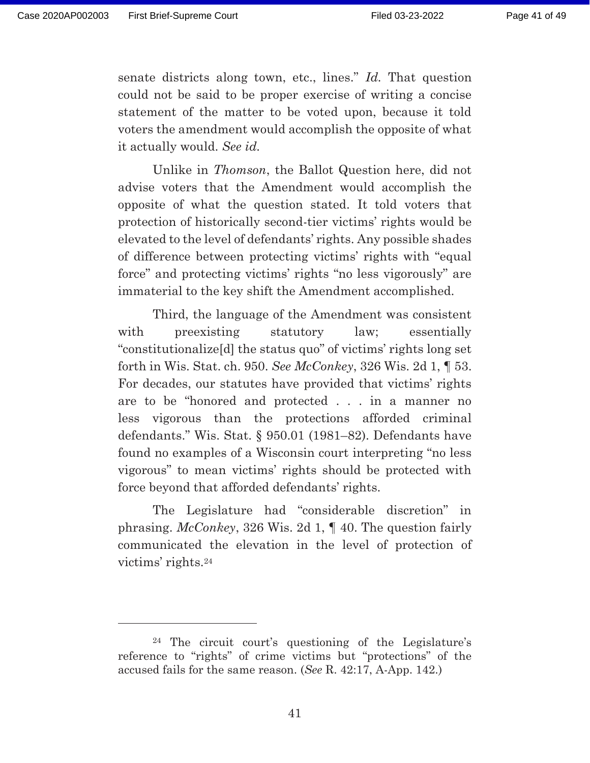senate districts along town, etc., lines." *Id.* That question could not be said to be proper exercise of writing a concise statement of the matter to be voted upon, because it told voters the amendment would accomplish the opposite of what it actually would. *See id.* 

Unlike in *Thomson*, the Ballot Question here, did not advise voters that the Amendment would accomplish the opposite of what the question stated. It told voters that protection of historically second-tier victims' rights would be elevated to the level of defendants' rights. Any possible shades of difference between protecting victims' rights with "equal force" and protecting victims' rights "no less vigorously" are immaterial to the key shift the Amendment accomplished.

 Third, the language of the Amendment was consistent with preexisting statutory law; essentially "constitutionalize[d] the status quo" of victims' rights long set forth in Wis. Stat. ch. 950. *See McConkey*, 326 Wis. 2d 1, ¶ 53. For decades, our statutes have provided that victims' rights are to be "honored and protected . . . in a manner no less vigorous than the protections afforded criminal defendants." Wis. Stat. § 950.01 (1981–82). Defendants have found no examples of a Wisconsin court interpreting "no less vigorous" to mean victims' rights should be protected with force beyond that afforded defendants' rights.

 The Legislature had "considerable discretion" in phrasing. *McConkey*, 326 Wis. 2d 1, ¶ 40. The question fairly communicated the elevation in the level of protection of victims' rights.24

<sup>24</sup> The circuit court's questioning of the Legislature's reference to "rights" of crime victims but "protections" of the accused fails for the same reason. (*See* R. 42:17, A-App. 142.)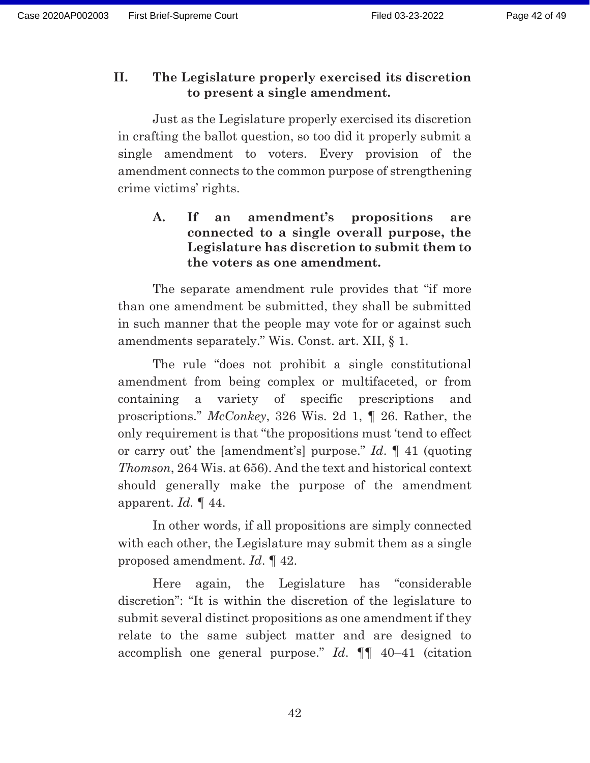### **II. The Legislature properly exercised its discretion to present a single amendment.**

 Just as the Legislature properly exercised its discretion in crafting the ballot question, so too did it properly submit a single amendment to voters. Every provision of the amendment connects to the common purpose of strengthening crime victims' rights.

**A. If an amendment's propositions are connected to a single overall purpose, the Legislature has discretion to submit them to the voters as one amendment.** 

The separate amendment rule provides that "if more than one amendment be submitted, they shall be submitted in such manner that the people may vote for or against such amendments separately." Wis. Const. art. XII, § 1.

The rule "does not prohibit a single constitutional amendment from being complex or multifaceted, or from containing a variety of specific prescriptions and proscriptions." *McConkey*, 326 Wis. 2d 1, ¶ 26. Rather, the only requirement is that "the propositions must 'tend to effect or carry out' the [amendment's] purpose." *Id*. ¶ 41 (quoting *Thomson*, 264 Wis. at 656). And the text and historical context should generally make the purpose of the amendment apparent. *Id.* ¶ 44.

In other words, if all propositions are simply connected with each other, the Legislature may submit them as a single proposed amendment. *Id*. ¶ 42.

Here again, the Legislature has "considerable discretion": "It is within the discretion of the legislature to submit several distinct propositions as one amendment if they relate to the same subject matter and are designed to accomplish one general purpose." *Id*. ¶¶ 40–41 (citation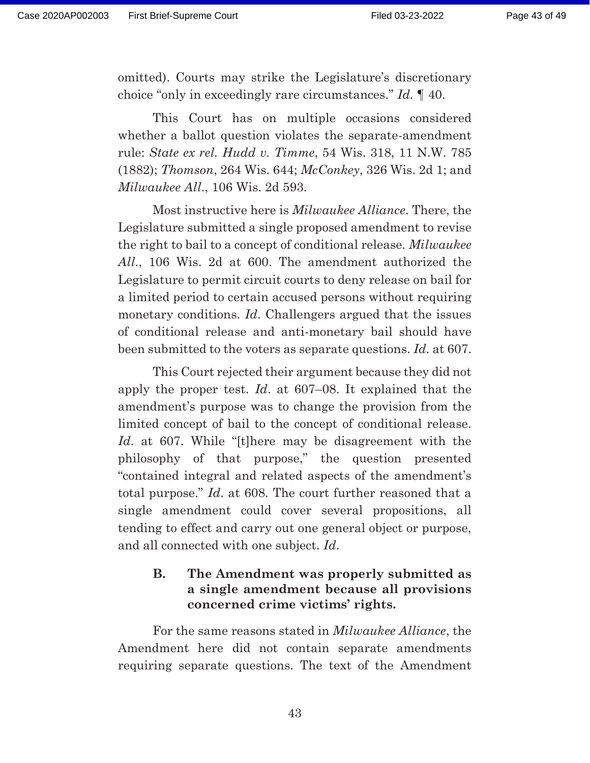omitted). Courts may strike the Legislature's discretionary choice "only in exceedingly rare circumstances." *Id.* ¶ 40.

 This Court has on multiple occasions considered whether a ballot question violates the separate-amendment rule: *State ex rel. Hudd v. Timme*, 54 Wis. 318, 11 N.W. 785 (1882); *Thomson*, 264 Wis. 644; *McConkey*, 326 Wis. 2d 1; and *Milwaukee All*., 106 Wis. 2d 593.

 Most instructive here is *Milwaukee Alliance*. There, the Legislature submitted a single proposed amendment to revise the right to bail to a concept of conditional release. *Milwaukee All*., 106 Wis. 2d at 600. The amendment authorized the Legislature to permit circuit courts to deny release on bail for a limited period to certain accused persons without requiring monetary conditions. *Id*. Challengers argued that the issues of conditional release and anti-monetary bail should have been submitted to the voters as separate questions. *Id*. at 607.

 This Court rejected their argument because they did not apply the proper test. *Id*. at 607–08. It explained that the amendment's purpose was to change the provision from the limited concept of bail to the concept of conditional release. *Id*. at 607. While "[t]here may be disagreement with the philosophy of that purpose," the question presented "contained integral and related aspects of the amendment's total purpose." *Id*. at 608. The court further reasoned that a single amendment could cover several propositions, all tending to effect and carry out one general object or purpose, and all connected with one subject. *Id*.

## **B. The Amendment was properly submitted as a single amendment because all provisions concerned crime victims' rights.**

For the same reasons stated in *Milwaukee Alliance*, the Amendment here did not contain separate amendments requiring separate questions. The text of the Amendment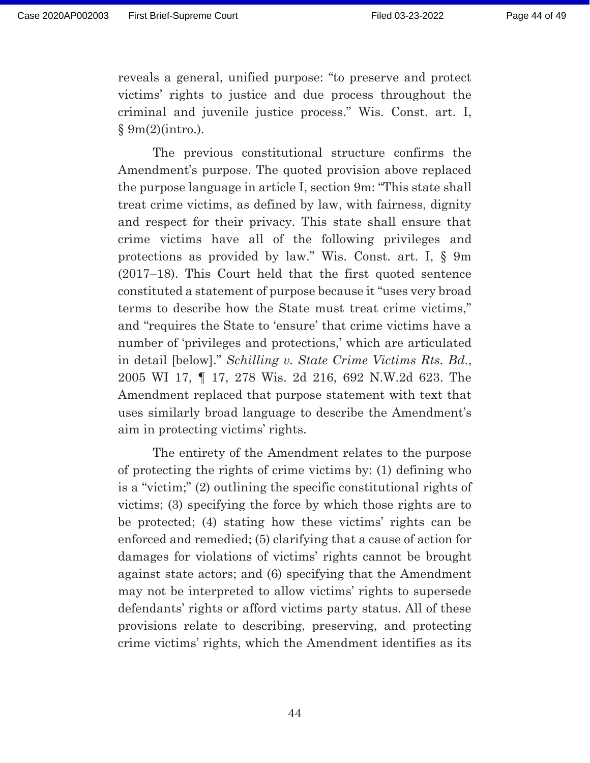reveals a general, unified purpose: "to preserve and protect victims' rights to justice and due process throughout the criminal and juvenile justice process." Wis. Const. art. I, § 9m(2)(intro.).

 The previous constitutional structure confirms the Amendment's purpose. The quoted provision above replaced the purpose language in article I, section 9m: "This state shall treat crime victims, as defined by law, with fairness, dignity and respect for their privacy. This state shall ensure that crime victims have all of the following privileges and protections as provided by law." Wis. Const. art. I, § 9m (2017–18). This Court held that the first quoted sentence constituted a statement of purpose because it "uses very broad terms to describe how the State must treat crime victims," and "requires the State to 'ensure' that crime victims have a number of 'privileges and protections,' which are articulated in detail [below]." *Schilling v. State Crime Victims Rts. Bd*., 2005 WI 17, ¶ 17, 278 Wis. 2d 216, 692 N.W.2d 623. The Amendment replaced that purpose statement with text that uses similarly broad language to describe the Amendment's aim in protecting victims' rights.

 The entirety of the Amendment relates to the purpose of protecting the rights of crime victims by: (1) defining who is a "victim;" (2) outlining the specific constitutional rights of victims; (3) specifying the force by which those rights are to be protected; (4) stating how these victims' rights can be enforced and remedied; (5) clarifying that a cause of action for damages for violations of victims' rights cannot be brought against state actors; and (6) specifying that the Amendment may not be interpreted to allow victims' rights to supersede defendants' rights or afford victims party status. All of these provisions relate to describing, preserving, and protecting crime victims' rights, which the Amendment identifies as its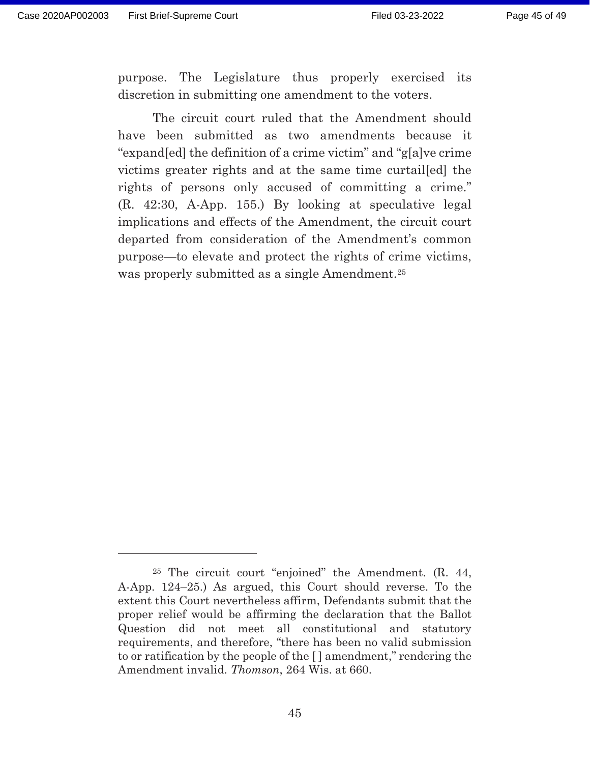purpose. The Legislature thus properly exercised its discretion in submitting one amendment to the voters.

 The circuit court ruled that the Amendment should have been submitted as two amendments because it "expand[ed] the definition of a crime victim" and "g[a]ve crime victims greater rights and at the same time curtail[ed] the rights of persons only accused of committing a crime." (R. 42:30, A-App. 155.) By looking at speculative legal implications and effects of the Amendment, the circuit court departed from consideration of the Amendment's common purpose—to elevate and protect the rights of crime victims, was properly submitted as a single Amendment.25

<sup>25</sup> The circuit court "enjoined" the Amendment. (R. 44, A-App. 124–25.) As argued, this Court should reverse. To the extent this Court nevertheless affirm, Defendants submit that the proper relief would be affirming the declaration that the Ballot Question did not meet all constitutional and statutory requirements, and therefore, "there has been no valid submission to or ratification by the people of the [ ] amendment," rendering the Amendment invalid. *Thomson*, 264 Wis. at 660.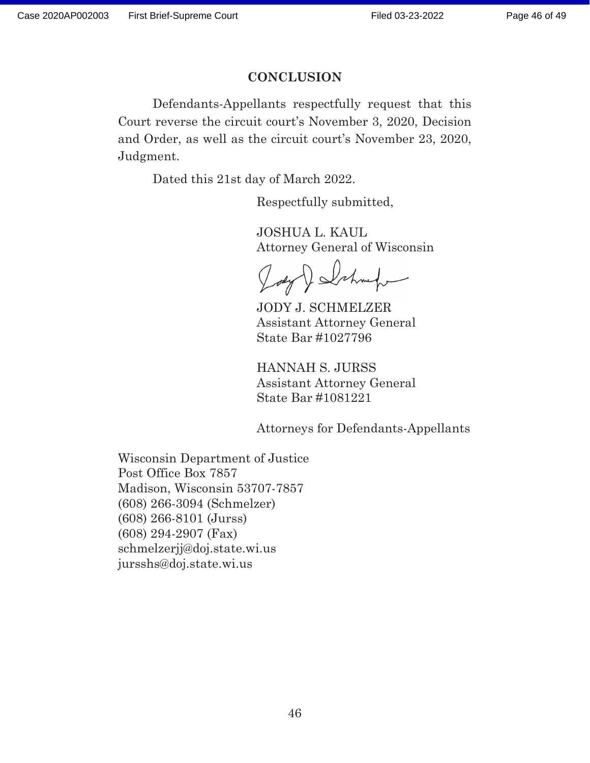#### **CONCLUSION**

Defendants-Appellants respectfully request that this Court reverse the circuit court's November 3, 2020, Decision and Order, as well as the circuit court's November 23, 2020, Judgment.

Dated this 21st day of March 2022.

Respectfully submitted,

JOSHUA L. KAUL Attorney General of Wisconsin

Delshmaken

JODY J. SCHMELZER Assistant Attorney General State Bar #1027796

HANNAH S. JURSS Assistant Attorney General State Bar #1081221

Attorneys for Defendants-Appellants

Wisconsin Department of Justice Post Office Box 7857 Madison, Wisconsin 53707-7857 (608) 266-3094 (Schmelzer) (608) 266-8101 (Jurss) (608) 294-2907 (Fax) schmelzerjj@doj.state.wi.us jursshs@doj.state.wi.us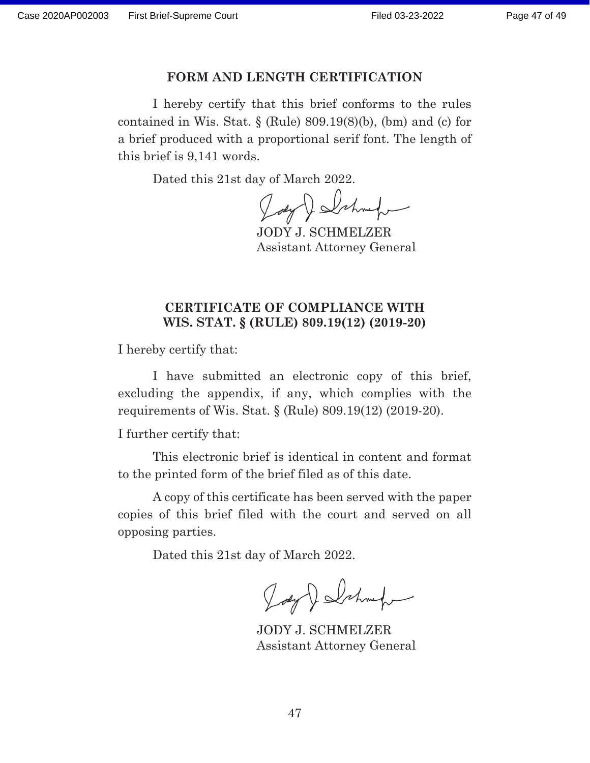#### Page 47 of 49

#### **FORM AND LENGTH CERTIFICATION**

I hereby certify that this brief conforms to the rules contained in Wis. Stat.  $\S$  (Rule) 809.19(8)(b), (bm) and (c) for a brief produced with a proportional serif font. The length of this brief is 9,141 words. Case 2020AP002003 First Brief-Supreme Court Filed 03-23-2022<br>
FORM AND LENGTH CERTIFICATION<br>
I hereby certify that this brief conforms to the contained in Wis. Stat. § (Rule) 809.19(8)(b), (bm) and (a brief produced with

Dated this 21st day of March 2022.

JODY J. SCHMELZER Assistant Attorney General

### **CERTIFICATE OF COMPLIANCE WITH WIS. STAT. § (RULE) 809.19(12) (2019-20)**

I hereby certify that:

I have submitted an electronic copy of this brief, excluding the appendix, if any, which complies with the requirements of Wis. Stat. § (Rule) 809.19(12) (2019-20).

I further certify that:

This electronic brief is identical in content and format to the printed form of the brief filed as of this date.

A copy of this certificate has been served with the paper copies of this brief filed with the court and served on all opposing parties.

Dated this 21st day of March 2022.

Joey Delshmaker

JODY J. SCHMELZER Assistant Attorney General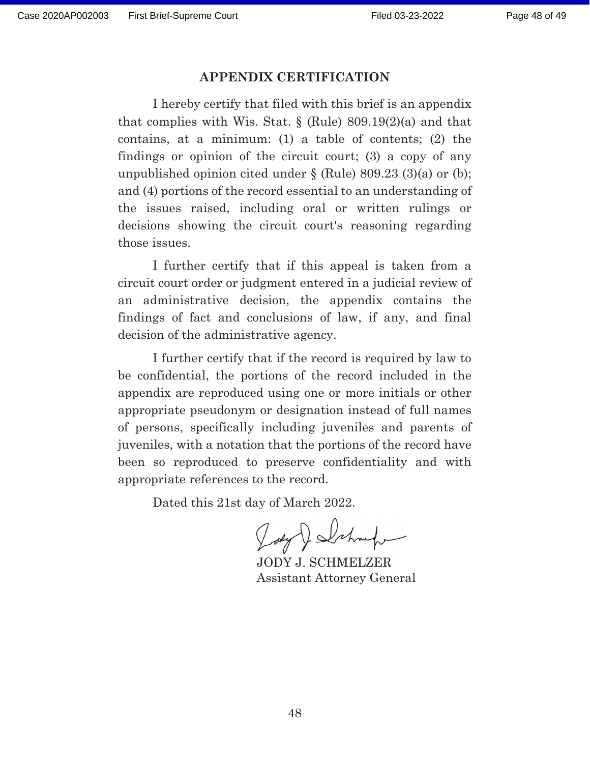#### **APPENDIX CERTIFICATION**

I hereby certify that filed with this brief is an appendix that complies with Wis. Stat. § (Rule) 809.19(2)(a) and that contains, at a minimum: (1) a table of contents; (2) the findings or opinion of the circuit court; (3) a copy of any unpublished opinion cited under  $\S$  (Rule) 809.23 (3)(a) or (b); and (4) portions of the record essential to an understanding of the issues raised, including oral or written rulings or decisions showing the circuit court's reasoning regarding those issues. Gase 2020AP002003 First Brief-Supreme Court Filed 03-23-2022<br>
APPENDIX CERTIFICATION<br>
Interby certify that filed with this brief is an appertual<br>
that complicas with Wiss. Stat. § (Rub) 800.190 and<br>
contains, at a minimum

I further certify that if this appeal is taken from a circuit court order or judgment entered in a judicial review of an administrative decision, the appendix contains the findings of fact and conclusions of law, if any, and final decision of the administrative agency.

I further certify that if the record is required by law to be confidential, the portions of the record included in the appendix are reproduced using one or more initials or other appropriate pseudonym or designation instead of full names of persons, specifically including juveniles and parents of juveniles, with a notation that the portions of the record have been so reproduced to preserve confidentiality and with appropriate references to the record.

Dated this 21st day of March 2022.

JODY J. SCHMELZER Assistant Attorney General